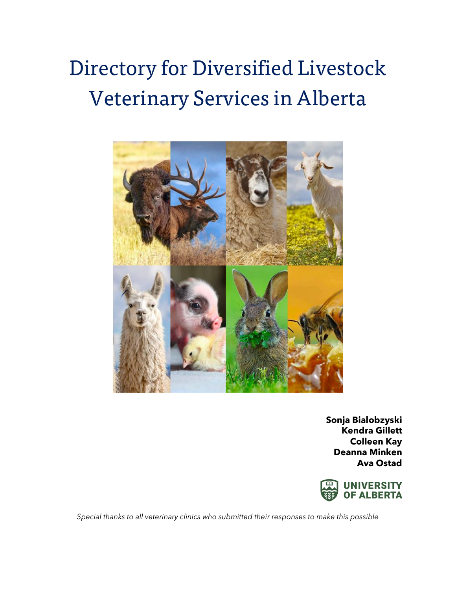# Directory for Diversified Livestock Veterinary Services in Alberta



**Sonja Bialobzyski Kendra Gillett Colleen Kay Deanna Minken Ava Ostad**



*Special thanks to all veterinary clinics who submitted their responses to make this possible*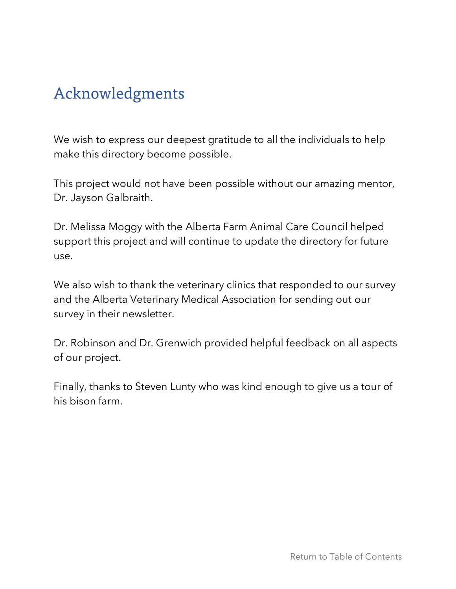# <span id="page-1-0"></span>Acknowledgments

We wish to express our deepest gratitude to all the individuals to help make this directory become possible.

This project would not have been possible without our amazing mentor, Dr. Jayson Galbraith.

Dr. Melissa Moggy with the Alberta Farm Animal Care Council helped support this project and will continue to update the directory for future use.

We also wish to thank the veterinary clinics that responded to our survey and the Alberta Veterinary Medical Association for sending out our survey in their newsletter.

Dr. Robinson and Dr. Grenwich provided helpful feedback on all aspects of our project.

Finally, thanks to Steven Lunty who was kind enough to give us a tour of his bison farm.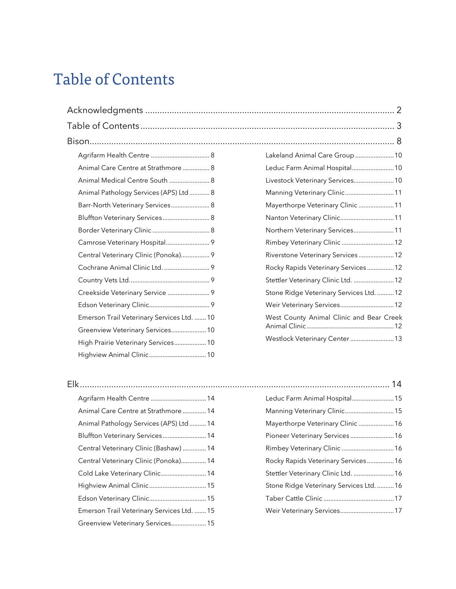# <span id="page-2-0"></span>Table of Contents

|                                            | Lakeland Animal Care Group  10           |
|--------------------------------------------|------------------------------------------|
| Animal Care Centre at Strathmore  8        | Leduc Farm Animal Hospital 10            |
| Animal Medical Centre South  8             | Livestock Veterinary Services 10         |
| Animal Pathology Services (APS) Ltd  8     | Manning Veterinary Clinic 11             |
| Barr-North Veterinary Services 8           | Mayerthorpe Veterinary Clinic  11        |
| Bluffton Veterinary Services 8             | Nanton Veterinary Clinic 11              |
|                                            | Northern Veterinary Services 11          |
| Camrose Veterinary Hospital 9              | Rimbey Veterinary Clinic  12             |
| Central Veterinary Clinic (Ponoka) 9       | Riverstone Veterinary Services  12       |
|                                            | Rocky Rapids Veterinary Services 12      |
|                                            | Stettler Veterinary Clinic Ltd.  12      |
| Creekside Veterinary Service  9            | Stone Ridge Veterinary Services Ltd.  12 |
|                                            | Weir Veterinary Services 12              |
| Emerson Trail Veterinary Services Ltd.  10 | West County Animal Clinic and Bear Creek |
| Greenview Veterinary Services 10           |                                          |
| High Prairie Veterinary Services 10        | Westlock Veterinary Center  13           |
|                                            |                                          |

| Flk.                                      |
|-------------------------------------------|
|                                           |
| Animal Care Centre at Strathmore 14       |
| Animal Pathology Services (APS) Ltd  14   |
| Bluffton Veterinary Services 14           |
| Central Veterinary Clinic (Bashaw)  14    |
| Central Veterinary Clinic (Ponoka) 14     |
| Cold Lake Veterinary Clinic 14            |
| Highview Animal Clinic 15                 |
|                                           |
| Emerson Trail Veterinary Services Ltd. 15 |
| Greenview Veterinary Services 15          |

| Leduc Farm Animal Hospital 15            |  |
|------------------------------------------|--|
| Manning Veterinary Clinic 15             |  |
| Mayerthorpe Veterinary Clinic  16        |  |
| Pioneer Veterinary Services  16          |  |
| Rimbey Veterinary Clinic  16             |  |
| Rocky Rapids Veterinary Services16       |  |
| Stettler Veterinary Clinic Ltd.  16      |  |
| Stone Ridge Veterinary Services Ltd.  16 |  |
|                                          |  |
| Weir Veterinary Services 17              |  |
|                                          |  |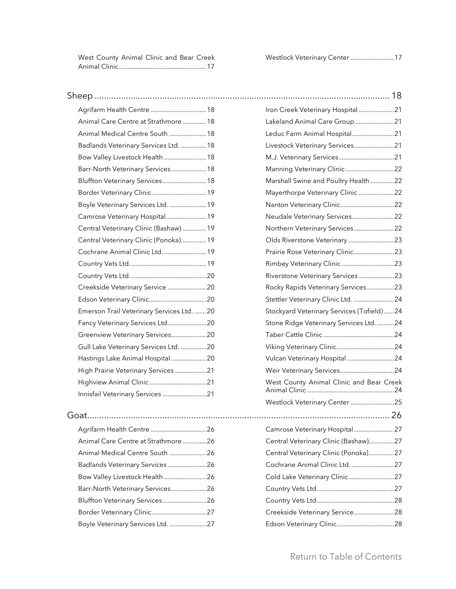| West County Animal Clinic and Bear Creek |  |  |  |
|------------------------------------------|--|--|--|
|                                          |  |  |  |

| Agrifarm Health Centre  18                |
|-------------------------------------------|
| Animal Care Centre at Strathmore  18      |
| Animal Medical Centre South  18           |
| Badlands Veterinary Services Ltd.  18     |
| Bow Valley Livestock Health  18           |
| Barr-North Veterinary Services 18         |
| Bluffton Veterinary Services 18           |
| Border Veterinary Clinic  19              |
| Boyle Veterinary Services Ltd.  19        |
| Camrose Veterinary Hospital 19            |
| Central Veterinary Clinic (Bashaw)  19    |
| Central Veterinary Clinic (Ponoka) 19     |
| Cochrane Animal Clinic Ltd.  19           |
|                                           |
|                                           |
| Creekside Veterinary Service  20          |
|                                           |
| Emerson Trail Veterinary Services Ltd. 20 |
|                                           |
| Greenview Veterinary Services 20          |
| Gull Lake Veterinary Services Ltd. 20     |
| Hastings Lake Animal Hospital20           |
| High Prairie Veterinary Services 21       |
|                                           |
| Innisfail Veterinary Services 21          |

| Animal Care Centre at Strathmore 26 |
|-------------------------------------|
| Animal Medical Centre South 26      |
|                                     |
| Bow Valley Livestock Health  26     |
| Barr-North Veterinary Services 26   |
| Bluffton Veterinary Services 26     |
| Border Veterinary Clinic  27        |
| Boyle Veterinary Services Ltd.  27  |

[Westlock Veterinary Center..........................17](#page-16-3)

| Iron Creek Veterinary Hospital 21         |
|-------------------------------------------|
| Lakeland Animal Care Group 21             |
| Leduc Farm Animal Hospital21              |
| Livestock Veterinary Services21           |
|                                           |
| Manning Veterinary Clinic22               |
| Marshall Swine and Poultry Health 22      |
| Mayerthorpe Veterinary Clinic 22          |
| Nanton Veterinary Clinic22                |
| Neudale Veterinary Services22             |
| Northern Veterinary Services22            |
| Olds Riverstone Veterinary 23             |
| Prairie Rose Veterinary Clinic23          |
| Rimbey Veterinary Clinic 23               |
| Riverstone Veterinary Services 23         |
| Rocky Rapids Veterinary Services23        |
| Stettler Veterinary Clinic Ltd. 24        |
| Stockyard Veterinary Services (Tofield)24 |
| Stone Ridge Veterinary Services Ltd. 24   |
|                                           |
|                                           |
| Vulcan Veterinary Hospital 24             |
| Weir Veterinary Services24                |
| West County Animal Clinic and Bear Creek  |
| Westlock Veterinary Center 25             |
|                                           |
| Camrose Veterinary Hospital27             |
| Central Veterinary Clinic (Bashaw)27      |
| Central Veterinary Clinic (Ponoka)27      |
| Cochrane Animal Clinic Ltd. 27            |
| Cold Lake Veterinary Clinic27             |
|                                           |
|                                           |
| Creekside Veterinary Service28            |
|                                           |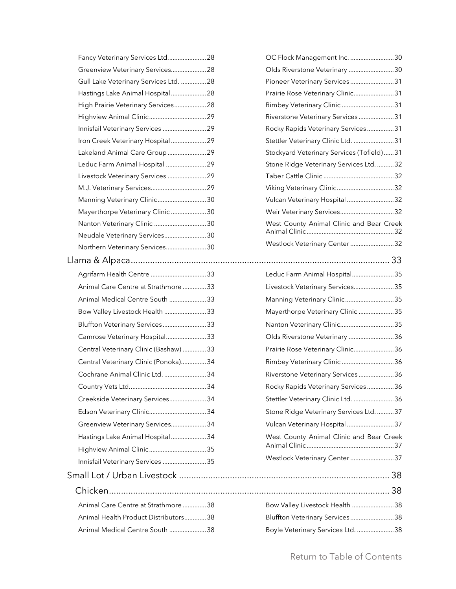| Fancy Veterinary Services Ltd 28       |    |
|----------------------------------------|----|
| Greenview Veterinary Services 28       |    |
| Gull Lake Veterinary Services Ltd.  28 |    |
| Hastings Lake Animal Hospital 28       |    |
| High Prairie Veterinary Services 28    |    |
|                                        |    |
| Innisfail Veterinary Services  29      |    |
| Iron Creek Veterinary Hospital 29      |    |
| Lakeland Animal Care Group  29         |    |
| Leduc Farm Animal Hospital  29         |    |
| Livestock Veterinary Services  29      |    |
| M.J. Veterinary Services29             |    |
| Manning Veterinary Clinic 30           |    |
| Mayerthorpe Veterinary Clinic  30      |    |
| Nanton Veterinary Clinic  30           |    |
| Neudale Veterinary Services 30         |    |
| Northern Veterinary Services 30        |    |
|                                        |    |
| Agrifarm Health Centre 33              |    |
| Animal Care Centre at Strathmore  33   |    |
| Animal Medical Centre South  33        |    |
| Bow Valley Livestock Health  33        |    |
| Bluffton Veterinary Services 33        |    |
| Camrose Veterinary Hospital33          |    |
| Central Veterinary Clinic (Bashaw) 33  |    |
| Central Veterinary Clinic (Ponoka) 34  |    |
| Cochrane Animal Clinic Ltd.  34        |    |
|                                        | 34 |
| Creekside Veterinary Services34        |    |
|                                        |    |
| Greenview Veterinary Services 34       |    |
| Hastings Lake Animal Hospital 34       |    |
|                                        |    |
| Innisfail Veterinary Services  35      |    |
|                                        |    |
|                                        |    |
|                                        |    |
| Animal Care Centre at Strathmore  38   |    |
| Animal Health Product Distributors38   |    |
| Animal Medical Centre South  38        |    |

| OC Flock Management Inc. 30               |  |
|-------------------------------------------|--|
| Olds Riverstone Veterinary 30             |  |
| Pioneer Veterinary Services 31            |  |
| Prairie Rose Veterinary Clinic31          |  |
| Rimbey Veterinary Clinic 31               |  |
| Riverstone Veterinary Services 31         |  |
| Rocky Rapids Veterinary Services31        |  |
| Stettler Veterinary Clinic Ltd. 31        |  |
| Stockyard Veterinary Services (Tofield)31 |  |
| Stone Ridge Veterinary Services Ltd. 32   |  |
|                                           |  |
|                                           |  |
| Vulcan Veterinary Hospital 32             |  |
| Weir Veterinary Services32                |  |
| West County Animal Clinic and Bear Creek  |  |
| Westlock Veterinary Center32              |  |
|                                           |  |
| Leduc Farm Animal Hospital35              |  |
| Livestock Veterinary Services35           |  |
| Manning Veterinary Clinic35               |  |
|                                           |  |
| Mayerthorpe Veterinary Clinic 35          |  |
| Nanton Veterinary Clinic35                |  |
| Olds Riverstone Veterinary 36             |  |
| Prairie Rose Veterinary Clinic36          |  |
| Rimbey Veterinary Clinic 36               |  |
| Riverstone Veterinary Services36          |  |
| Rocky Rapids Veterinary Services36        |  |
| Stettler Veterinary Clinic Ltd. 36        |  |
| Stone Ridge Veterinary Services Ltd. 37   |  |
| Vulcan Veterinary Hospital 37             |  |
| West County Animal Clinic and Bear Creek  |  |
| Westlock Veterinary Center 37             |  |
|                                           |  |
|                                           |  |
|                                           |  |
| Bow Valley Livestock Health 38            |  |
| Bluffton Veterinary Services38            |  |
| Boyle Veterinary Services Ltd. 38         |  |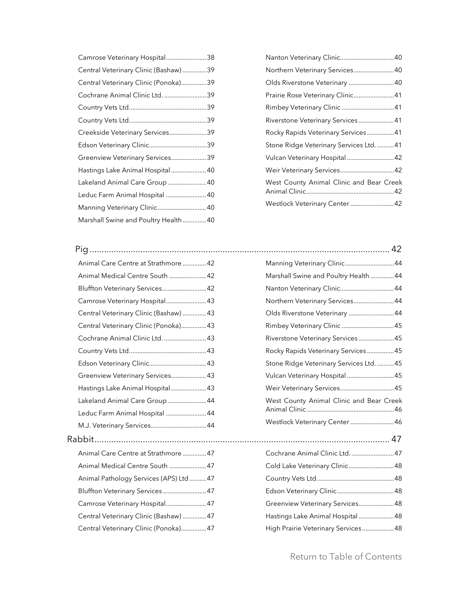| Camrose Veterinary Hospital 38         |
|----------------------------------------|
| Central Veterinary Clinic (Bashaw)  39 |
| Central Veterinary Clinic (Ponoka) 39  |
| Cochrane Animal Clinic Ltd.  39        |
|                                        |
|                                        |
| Creekside Veterinary Services39        |
|                                        |
| Greenview Veterinary Services 39       |
| Hastings Lake Animal Hospital 40       |
| Lakeland Animal Care Group  40         |
| Leduc Farm Animal Hospital  40         |
| Manning Veterinary Clinic 40           |
| Marshall Swine and Poultry Health 40   |

| Animal Care Centre at Strathmore  42   |  |
|----------------------------------------|--|
| Animal Medical Centre South  42        |  |
| Bluffton Veterinary Services 42        |  |
| Camrose Veterinary Hospital 43         |  |
| Central Veterinary Clinic (Bashaw)  43 |  |
| Central Veterinary Clinic (Ponoka) 43  |  |
| Cochrane Animal Clinic Ltd.  43        |  |
|                                        |  |
|                                        |  |
| Greenview Veterinary Services 43       |  |
| Hastings Lake Animal Hospital 43       |  |
| Lakeland Animal Care Group  44         |  |
| Leduc Farm Animal Hospital  44         |  |
| M.J. Veterinary Services 44            |  |
|                                        |  |
| Animal Care Centre at Strathmore 47    |  |
| Animal Medical Centre South  47        |  |
| Animal Pathology Services (APS) Ltd 47 |  |
| Bluffton Veterinary Services 47        |  |
| Camrose Veterinary Hospital 47         |  |
| Central Veterinary Clinic (Bashaw)  47 |  |
| Central Veterinary Clinic (Ponoka) 47  |  |
|                                        |  |

| Nanton Veterinary Clinic40               |
|------------------------------------------|
| Northern Veterinary Services40           |
| Olds Riverstone Veterinary 40            |
| Prairie Rose Veterinary Clinic41         |
| Rimbey Veterinary Clinic 41              |
| Riverstone Veterinary Services 41        |
| Rocky Rapids Veterinary Services41       |
| Stone Ridge Veterinary Services Ltd. 41  |
| Vulcan Veterinary Hospital 42            |
| Weir Veterinary Services42               |
| West County Animal Clinic and Bear Creek |
| Westlock Veterinary Center 42            |
|                                          |

| Manning Veterinary Clinic44              |
|------------------------------------------|
| Marshall Swine and Poultry Health 44     |
|                                          |
| Northern Veterinary Services44           |
| Olds Riverstone Veterinary 44            |
| Rimbey Veterinary Clinic 45              |
| Riverstone Veterinary Services 45        |
| Rocky Rapids Veterinary Services45       |
| Stone Ridge Veterinary Services Ltd. 45  |
| Vulcan Veterinary Hospital 45            |
| Weir Veterinary Services45               |
| West County Animal Clinic and Bear Creek |
| Westlock Veterinary Center46             |
|                                          |
| Cochrane Animal Clinic Ltd. 47           |
| Cold Lake Veterinary Clinic48            |
|                                          |
|                                          |
| Greenview Veterinary Services48          |
| Hastings Lake Animal Hospital 48         |
| High Prairie Veterinary Services48       |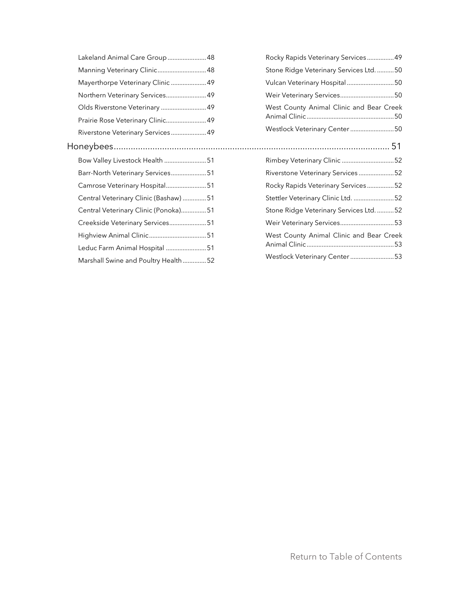| Lakeland Animal Care Group  48        | Rocky Rapids Veterinary Services49       |
|---------------------------------------|------------------------------------------|
| Manning Veterinary Clinic 48          | Stone Ridge Veterinary Services Ltd. 50  |
| Mayerthorpe Veterinary Clinic  49     | Vulcan Veterinary Hospital 50            |
| Northern Veterinary Services 49       | Weir Veterinary Services50               |
| Olds Riverstone Veterinary  49        | West County Animal Clinic and Bear Creek |
| Prairie Rose Veterinary Clinic 49     |                                          |
| Riverstone Veterinary Services 49     | Westlock Veterinary Center 50            |
|                                       |                                          |
| Bow Valley Livestock Health 51        | Rimbey Veterinary Clinic 52              |
| Barr-North Veterinary Services 51     | Riverstone Veterinary Services52         |
| Camrose Veterinary Hospital51         | Rocky Rapids Veterinary Services52       |
| Central Veterinary Clinic (Bashaw) 51 | Stettler Veterinary Clinic Ltd. 52       |
| Central Veterinary Clinic (Ponoka)51  | Stone Ridge Veterinary Services Ltd. 52  |
| Creekside Veterinary Services51       | Weir Veterinary Services53               |
|                                       | West County Animal Clinic and Bear Creek |
| Leduc Farm Animal Hospital  51        |                                          |
| Marshall Swine and Poultry Health52   | Westlock Veterinary Center 53            |
|                                       |                                          |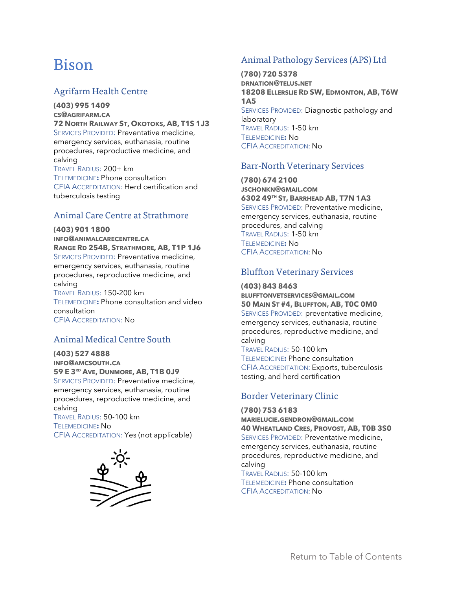# <span id="page-7-0"></span>Bison

## <span id="page-7-1"></span>Agrifarm Health Centre

**(403) 995 1409 CS@AGRIFARM.CA 72 NORTH RAILWAY ST, OKOTOKS, AB, T1S 1J3** SERVICES PROVIDED: Preventative medicine, emergency services, euthanasia, routine procedures, reproductive medicine, and calving TRAVEL RADIUS: 200+ km TELEMEDICINE**:** Phone consultation CFIA ACCREDITATION: Herd certification and tuberculosis testing

## <span id="page-7-2"></span>Animal Care Centre at Strathmore

#### **(403) 901 1800**

**INFO@ANIMALCARECENTRE.CA RANGE RD 254B, STRATHMORE, AB, T1P 1J6** SERVICES PROVIDED: Preventative medicine, emergency services, euthanasia, routine procedures, reproductive medicine, and calving TRAVEL RADIUS: 150-200 km

TELEMEDICINE**:** Phone consultation and video consultation CFIA ACCREDITATION: No

## <span id="page-7-3"></span>Animal Medical Centre South

**(403) 527 4888 INFO@AMCSOUTH.CA 59 E 3 RD AVE, DUNMORE, AB, T1B 0J9** SERVICES PROVIDED: Preventative medicine, emergency services, euthanasia, routine procedures, reproductive medicine, and calving TRAVEL RADIUS: 50-100 km TELEMEDICINE**:** No

CFIA ACCREDITATION: Yes (not applicable)



## <span id="page-7-4"></span>Animal Pathology Services (APS) Ltd

**(780) 720 5378 DRNATION@TELUS.NET 18208 ELLERSLIE RD SW, EDMONTON, AB, T6W 1A5** SERVICES PROVIDED: Diagnostic pathology and laboratory TRAVEL RADIUS: 1-50 km TELEMEDICINE**:** No CFIA ACCREDITATION: No

## <span id="page-7-5"></span>Barr-North Veterinary Services

**(780) 674 2100 JSCHONKN@GMAIL.COM 6302 49TH ST, BARRHEAD AB, T7N 1A3** SERVICES PROVIDED: Preventative medicine, emergency services, euthanasia, routine procedures, and calving TRAVEL RADIUS: 1-50 km TELEMEDICINE**:** No CFIA ACCREDITATION: No

## <span id="page-7-6"></span>Bluffton Veterinary Services

## **(403) 843 8463**

**BLUFFTONVETSERVICES@GMAIL.COM 50 MAIN ST #4, BLUFFTON, AB, T0C 0M0** SERVICES PROVIDED: preventative medicine, emergency services, euthanasia, routine procedures, reproductive medicine, and calving

TRAVEL RADIUS: 50-100 km TELEMEDICINE**:** Phone consultation CFIA ACCREDITATION: Exports, tuberculosis testing, and herd certification

#### <span id="page-7-7"></span>Border Veterinary Clinic

**(780) 753 6183 MARIELUCIE.GENDRON@GMAIL.COM 40 WHEATLAND CRES, PROVOST, AB, T0B 3S0** SERVICES PROVIDED: Preventative medicine, emergency services, euthanasia, routine procedures, reproductive medicine, and calving TRAVEL RADIUS: 50-100 km TELEMEDICINE**:** Phone consultation

CFIA ACCREDITATION: No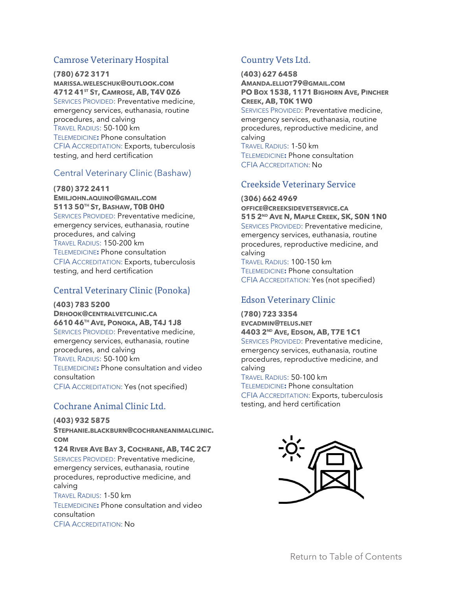## <span id="page-8-0"></span>Camrose Veterinary Hospital

**(780) 672 3171 MARISSA.WELESCHUK@OUTLOOK.COM 4712 41ST ST, CAMROSE, AB, T4V 0Z6** SERVICES PROVIDED: Preventative medicine, emergency services, euthanasia, routine procedures, and calving TRAVEL RADIUS: 50-100 km TELEMEDICINE**:** Phone consultation CFIA ACCREDITATION: Exports, tuberculosis testing, and herd certification

## Central Veterinary Clinic (Bashaw)

#### **(780) 372 2411**

**EMILJOHN.AQUINO@GMAIL.COM**  $511350$ <sup>TH</sup> ST, BASHAW, TOB 0H0 SERVICES PROVIDED: Preventative medicine, emergency services, euthanasia, routine procedures, and calving TRAVEL RADIUS: 150-200 km TELEMEDICINE**:** Phone consultation CFIA ACCREDITATION: Exports, tuberculosis testing, and herd certification

# <span id="page-8-1"></span>Central Veterinary Clinic (Ponoka)

**(403) 783 5200**

**DRHOOK@CENTRALVETCLINIC.CA 6610 46TH AVE, PONOKA, AB, T4J 1J8** SERVICES PROVIDED: Preventative medicine, emergency services, euthanasia, routine procedures, and calving TRAVEL RADIUS: 50-100 km TELEMEDICINE**:** Phone consultation and video consultation CFIA ACCREDITATION: Yes (not specified)

# <span id="page-8-2"></span>Cochrane Animal Clinic Ltd.

**(403) 932 5875 STEPHANIE.BLACKBURN@COCHRANEANIMALCLINIC. COM 124 RIVER AVE BAY 3, COCHRANE, AB, T4C 2C7** SERVICES PROVIDED: Preventative medicine, emergency services, euthanasia, routine procedures, reproductive medicine, and calving TRAVEL RADIUS: 1-50 km TELEMEDICINE**:** Phone consultation and video consultation

CFIA ACCREDITATION: No

# <span id="page-8-3"></span>Country Vets Ltd.

**(403) 627 6458 AMANDA.ELLIOT79@GMAIL.COM PO BOX 1538, 1171 BIGHORN AVE, PINCHER CREEK, AB, T0K 1W0** SERVICES PROVIDED: Preventative medicine, emergency services, euthanasia, routine procedures, reproductive medicine, and calving TRAVEL RADIUS: 1-50 km TELEMEDICINE**:** Phone consultation CFIA ACCREDITATION: No

## <span id="page-8-4"></span>Creekside Veterinary Service

**(306) 662 4969 OFFICE@CREEKSIDEVETSERVICE.CA 515 2 ND AVE N, MAPLE CREEK, SK, S0N 1N0** SERVICES PROVIDED: Preventative medicine, emergency services, euthanasia, routine procedures, reproductive medicine, and calving TRAVEL RADIUS: 100-150 km TELEMEDICINE**:** Phone consultation CFIA ACCREDITATION: Yes (not specified)

## <span id="page-8-5"></span>Edson Veterinary Clinic

**(780) 723 3354 EVCADMIN@TELUS.NET 4403 2 ND AVE, EDSON, AB, T7E 1C1** SERVICES PROVIDED: Preventative medicine, emergency services, euthanasia, routine procedures, reproductive medicine, and calving

TRAVEL RADIUS: 50-100 km TELEMEDICINE**:** Phone consultation CFIA ACCREDITATION: Exports, tuberculosis testing, and herd certification

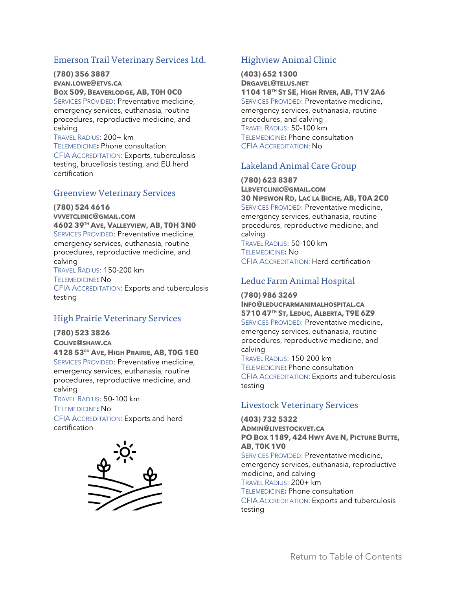## <span id="page-9-0"></span>Emerson Trail Veterinary Services Ltd.

**(780) 356 3887 EVAN.LOWE@ETVS.CA BOX 509, BEAVERLODGE, AB, T0H 0C0** SERVICES PROVIDED: Preventative medicine,

emergency services, euthanasia, routine procedures, reproductive medicine, and calving

TRAVEL RADIUS: 200+ km TELEMEDICINE**:** Phone consultation CFIA ACCREDITATION: Exports, tuberculosis testing, brucellosis testing, and EU herd certification

#### <span id="page-9-1"></span>Greenview Veterinary Services

**(780) 524 4616 VVVETCLINIC@GMAIL.COM 4602 39TH AVE, VALLEYVIEW, AB, T0H 3N0** SERVICES PROVIDED: Preventative medicine, emergency services, euthanasia, routine procedures, reproductive medicine, and calving TRAVEL RADIUS: 150-200 km TELEMEDICINE**:** No CFIA ACCREDITATION: Exports and tuberculosis testing

## <span id="page-9-2"></span>High Prairie Veterinary Services

**(780) 523 3826 COLIVE@SHAW.CA**

**4128 53RD AVE, HIGH PRAIRIE, AB, T0G 1E0** SERVICES PROVIDED: Preventative medicine, emergency services, euthanasia, routine procedures, reproductive medicine, and calving

TRAVEL RADIUS: 50-100 km

TELEMEDICINE**:** No CFIA ACCREDITATION: Exports and herd certification



## <span id="page-9-3"></span>Highview Animal Clinic

**(403) 652 1300 DRGAVEL@TELUS.NET 1104 18TH ST SE, HIGH RIVER, AB, T1V 2A6** SERVICES PROVIDED: Preventative medicine, emergency services, euthanasia, routine procedures, and calving TRAVEL RADIUS: 50-100 km TELEMEDICINE**:** Phone consultation CFIA ACCREDITATION: No

## <span id="page-9-4"></span>Lakeland Animal Care Group

**(780) 623 8387 LLBVETCLINIC@GMAIL.COM 30 NIPEWON RD, LAC LA BICHE, AB, T0A 2C0** SERVICES PROVIDED: Preventative medicine, emergency services, euthanasia, routine procedures, reproductive medicine, and calving TRAVEL RADIUS: 50-100 km TELEMEDICINE**:** No CFIA ACCREDITATION: Herd certification

## <span id="page-9-5"></span>Leduc Farm Animal Hospital

**(780) 986 3269 INFO@LEDUCFARMANIMALHOSPITAL.CA 5710 47TH ST, LEDUC, ALBERTA, T9E 6Z9** SERVICES PROVIDED: Preventative medicine, emergency services, euthanasia, routine procedures, reproductive medicine, and calving TRAVEL RADIUS: 150-200 km TELEMEDICINE**:** Phone consultation

CFIA ACCREDITATION: Exports and tuberculosis testing

## <span id="page-9-6"></span>Livestock Veterinary Services

**(403) 732 5322 ADMIN@LIVESTOCKVET.CA PO BOX 1189, 424 HWY AVE N, PICTURE BUTTE, AB, T0K 1V0** SERVICES PROVIDED: Preventative medicine, emergency services, euthanasia, reproductive medicine, and calving TRAVEL RADIUS: 200+ km

TELEMEDICINE**:** Phone consultation CFIA ACCREDITATION: Exports and tuberculosis testing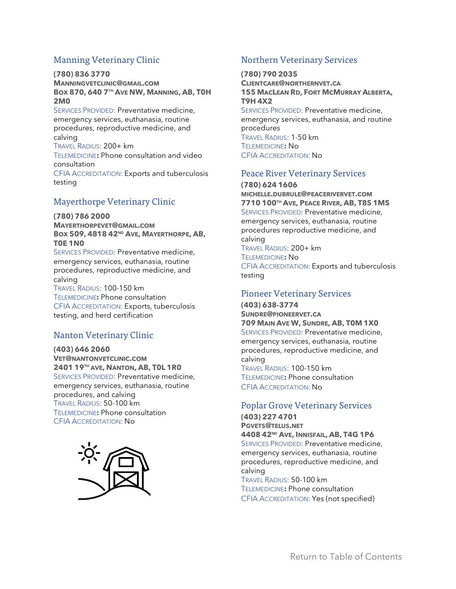## <span id="page-10-0"></span>Manning Veterinary Clinic

**(780) 836 3770**

**MANNINGVETCLINIC@GMAIL.COM BOX 870, 640 7 TH AVE NW, MANNING, AB, T0H 2M0**

SERVICES PROVIDED: Preventative medicine, emergency services, euthanasia, routine procedures, reproductive medicine, and calving

TRAVEL RADIUS: 200+ km TELEMEDICINE**:** Phone consultation and video consultation CFIA ACCREDITATION: Exports and tuberculosis testing

# <span id="page-10-1"></span>Mayerthorpe Veterinary Clinic

#### **(780) 786 2000**

**MAYERTHORPEVET@GMAIL.COM BOX 509, 4818 42ND AVE, MAYERTHORPE, AB, T0E 1N0**

SERVICES PROVIDED: Preventative medicine, emergency services, euthanasia, routine procedures, reproductive medicine, and calving

TRAVEL RADIUS: 100-150 km TELEMEDICINE**:** Phone consultation CFIA ACCREDITATION: Exports, tuberculosis testing, and herd certification

## <span id="page-10-2"></span>Nanton Veterinary Clinic

**(403) 646 2060 VET@NANTONVETCLINIC.COM 2401 19TH AVE, NANTON, AB, T0L 1R0** SERVICES PROVIDED: Preventative medicine, emergency services, euthanasia, routine procedures, and calving TRAVEL RADIUS: 50-100 km TELEMEDICINE**:** Phone consultation CFIA ACCREDITATION: No



## <span id="page-10-3"></span>Northern Veterinary Services

**(780) 790 2035 CLIENTCARE@NORTHERNVET.CA 155 MACLEAN RD, FORT MCMURRAY ALBERTA, T9H 4X2** SERVICES PROVIDED: Preventative medicine, emergency services, euthanasia, and routine procedures TRAVEL RADIUS: 1-50 km TELEMEDICINE**:** No CFIA ACCREDITATION: No

## Peace River Veterinary Services

**(780) 624 1606 MICHELLE.DUBRULE@PEACERIVERVET.COM 7710 100TH AVE, PEACE RIVER, AB, T8S 1M5** SERVICES PROVIDED: Preventative medicine, emergency services, euthanasia, routine procedures reproductive medicine, and calving TRAVEL RADIUS: 200+ km TELEMEDICINE**:** No CFIA ACCREDITATION: Exports and tuberculosis testing

## Pioneer Veterinary Services

**(403) 638-3774 SUNDRE@PIONEERVET.CA 709 MAIN AVE W, SUNDRE, AB, T0M 1X0** SERVICES PROVIDED: Preventative medicine, emergency services, euthanasia, routine procedures, reproductive medicine, and calving TRAVEL RADIUS: 100-150 km TELEMEDICINE**:** Phone consultation CFIA ACCREDITATION: No

# Poplar Grove Veterinary Services

**(403) 227 4701 PGVETS@TELUS.NET 4408 42ND AVE, INNISFAIL, AB, T4G 1P6** SERVICES PROVIDED: Preventative medicine, emergency services, euthanasia, routine procedures, reproductive medicine, and calving TRAVEL RADIUS: 50-100 km TELEMEDICINE**:** Phone consultation CFIA ACCREDITATION: Yes (not specified)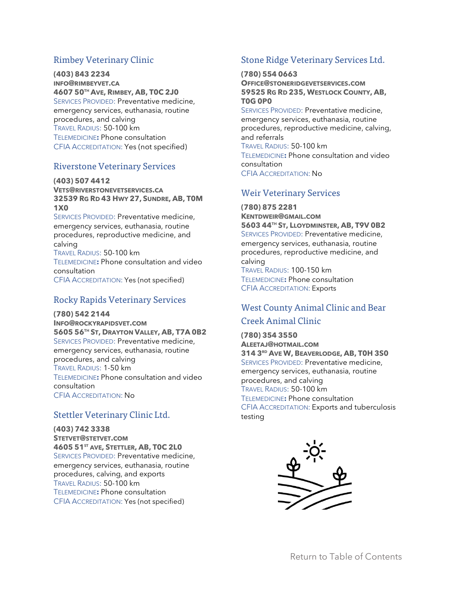## <span id="page-11-0"></span>Rimbey Veterinary Clinic

**(403) 843 2234 INFO@RIMBEYVET.CA 4607 50TH AVE, RIMBEY, AB, T0C 2J0** SERVICES PROVIDED: Preventative medicine, emergency services, euthanasia, routine procedures, and calving TRAVEL RADIUS: 50-100 km TELEMEDICINE**:** Phone consultation CFIA ACCREDITATION: Yes (not specified)

#### <span id="page-11-1"></span>Riverstone Veterinary Services

**(403) 507 4412 VETS@RIVERSTONEVETSERVICES.CA 32539 RG RD 43 HWY 27, SUNDRE, AB, T0M 1X0**

SERVICES PROVIDED: Preventative medicine, emergency services, euthanasia, routine procedures, reproductive medicine, and calving

TRAVEL RADIUS: 50-100 km TELEMEDICINE**:** Phone consultation and video consultation CFIA ACCREDITATION: Yes (not specified)

## <span id="page-11-2"></span>Rocky Rapids Veterinary Services

#### **(780) 542 2144**

**INFO@ROCKYRAPIDSVET.COM 5605 56TH ST, DRAYTON VALLEY, AB, T7A 0B2** SERVICES PROVIDED: Preventative medicine, emergency services, euthanasia, routine procedures, and calving TRAVEL RADIUS: 1-50 km TELEMEDICINE**:** Phone consultation and video consultation CFIA ACCREDITATION: No

#### <span id="page-11-3"></span>Stettler Veterinary Clinic Ltd.

**(403) 742 3338 STETVET@STETVET.COM 4605 51ST AVE, STETTLER, AB, T0C 2L0** SERVICES PROVIDED: Preventative medicine, emergency services, euthanasia, routine procedures, calving, and exports TRAVEL RADIUS: 50-100 km TELEMEDICINE**:** Phone consultation CFIA ACCREDITATION: Yes (not specified)

## <span id="page-11-4"></span>Stone Ridge Veterinary Services Ltd.

#### **(780) 554 0663**

**OFFICE@STONERIDGEVETSERVICES.COM 59525 RG RD 235, WESTLOCK COUNTY, AB, T0G 0P0**

SERVICES PROVIDED: Preventative medicine, emergency services, euthanasia, routine procedures, reproductive medicine, calving, and referrals TRAVEL RADIUS: 50-100 km TELEMEDICINE**:** Phone consultation and video consultation CFIA ACCREDITATION: No

## <span id="page-11-5"></span>Weir Veterinary Services

**(780) 875 2281 KENTDWEIR@GMAIL.COM 5603 44TH ST, LLOYDMINSTER, AB, T9V 0B2** SERVICES PROVIDED: Preventative medicine, emergency services, euthanasia, routine procedures, reproductive medicine, and calving TRAVEL RADIUS: 100-150 km

TELEMEDICINE**:** Phone consultation CFIA ACCREDITATION: Exports

## <span id="page-11-6"></span>West County Animal Clinic and Bear

### Creek Animal Clinic

**(780) 354 3550 ALEETAJ@HOTMAIL.COM 314 3 RD AVE W, BEAVERLODGE, AB, T0H 3S0** SERVICES PROVIDED: Preventative medicine, emergency services, euthanasia, routine procedures, and calving TRAVEL RADIUS: 50-100 km TELEMEDICINE**:** Phone consultation CFIA ACCREDITATION: Exports and tuberculosis testing

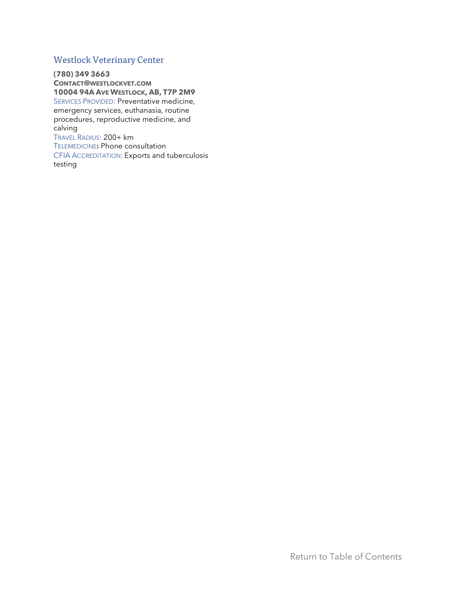## <span id="page-12-0"></span>Westlock Veterinary Center

**(780) 349 3663 CONTACT@WESTLOCKVET.COM 10004 94A AVE WESTLOCK, AB, T7P 2M9** SERVICES PROVIDED: Preventative medicine, emergency services, euthanasia, routine procedures, reproductive medicine, and calving TRAVEL RADIUS: 200+ km TELEMEDICINE**:** Phone consultation CFIA ACCREDITATION: Exports and tuberculosis testing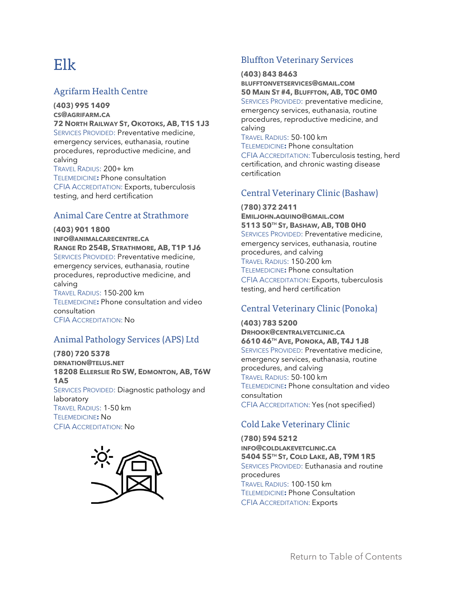# <span id="page-13-0"></span>Elk

## <span id="page-13-1"></span>Agrifarm Health Centre

**(403) 995 1409 CS@AGRIFARM.CA 72 NORTH RAILWAY ST, OKOTOKS, AB, T1S 1J3** SERVICES PROVIDED: Preventative medicine, emergency services, euthanasia, routine procedures, reproductive medicine, and calving TRAVEL RADIUS: 200+ km TELEMEDICINE**:** Phone consultation CFIA ACCREDITATION: Exports, tuberculosis testing, and herd certification

## <span id="page-13-2"></span>Animal Care Centre at Strathmore

#### **(403) 901 1800**

**INFO@ANIMALCARECENTRE.CA RANGE RD 254B, STRATHMORE, AB, T1P 1J6** SERVICES PROVIDED: Preventative medicine, emergency services, euthanasia, routine procedures, reproductive medicine, and calving TRAVEL RADIUS: 150-200 km TELEMEDICINE**:** Phone consultation and video consultation

<span id="page-13-3"></span>CFIA ACCREDITATION: No

## Animal Pathology Services (APS) Ltd

#### **(780) 720 5378**

**DRNATION@TELUS.NET 18208 ELLERSLIE RD SW, EDMONTON, AB, T6W 1A5** SERVICES PROVIDED: Diagnostic pathology and laboratory

TRAVEL RADIUS: 1-50 km TELEMEDICINE**:** No CFIA ACCREDITATION: No



### <span id="page-13-4"></span>Bluffton Veterinary Services

#### **(403) 843 8463**

**BLUFFTONVETSERVICES@GMAIL.COM 50 MAIN ST #4, BLUFFTON, AB, T0C 0M0** SERVICES PROVIDED: preventative medicine, emergency services, euthanasia, routine procedures, reproductive medicine, and calving

TRAVEL RADIUS: 50-100 km TELEMEDICINE**:** Phone consultation CFIA ACCREDITATION: Tuberculosis testing, herd certification, and chronic wasting disease certification

#### <span id="page-13-5"></span>Central Veterinary Clinic (Bashaw)

**(780) 372 2411 EMILJOHN.AQUINO@GMAIL.COM 5113 50TH ST, BASHAW, AB, T0B 0H0** SERVICES PROVIDED: Preventative medicine, emergency services, euthanasia, routine procedures, and calving TRAVEL RADIUS: 150-200 km TELEMEDICINE**:** Phone consultation CFIA ACCREDITATION: Exports, tuberculosis testing, and herd certification

## <span id="page-13-6"></span>Central Veterinary Clinic (Ponoka)

**(403) 783 5200 DRHOOK@CENTRALVETCLINIC.CA 6610 46TH AVE, PONOKA, AB, T4J 1J8** SERVICES PROVIDED: Preventative medicine, emergency services, euthanasia, routine procedures, and calving TRAVEL RADIUS: 50-100 km TELEMEDICINE**:** Phone consultation and video consultation CFIA ACCREDITATION: Yes (not specified)

## <span id="page-13-7"></span>Cold Lake Veterinary Clinic

**(780) 594 5212 INFO@COLDLAKEVETCLINIC.CA 5404 55TH ST, COLD LAKE, AB, T9M 1R5** SERVICES PROVIDED: Euthanasia and routine procedures TRAVEL RADIUS: 100-150 km TELEMEDICINE**:** Phone Consultation CFIA ACCREDITATION: Exports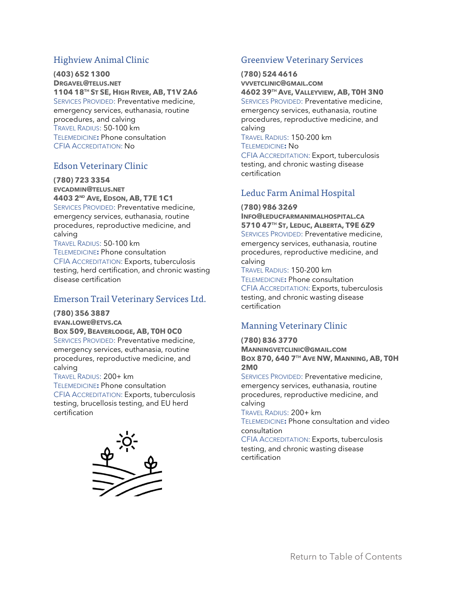## <span id="page-14-0"></span>Highview Animal Clinic

**(403) 652 1300 DRGAVEL@TELUS.NET 1104 18TH ST SE, HIGH RIVER, AB, T1V 2A6** SERVICES PROVIDED: Preventative medicine, emergency services, euthanasia, routine procedures, and calving TRAVEL RADIUS: 50-100 km TELEMEDICINE**:** Phone consultation CFIA ACCREDITATION: No

## <span id="page-14-1"></span>Edson Veterinary Clinic

**(780) 723 3354**

**EVCADMIN@TELUS.NET**

**4403 2 ND AVE, EDSON, AB, T7E 1C1** SERVICES PROVIDED: Preventative medicine, emergency services, euthanasia, routine procedures, reproductive medicine, and calving

TRAVEL RADIUS: 50-100 km TELEMEDICINE**:** Phone consultation CFIA ACCREDITATION: Exports, tuberculosis testing, herd certification, and chronic wasting disease certification

## <span id="page-14-2"></span>Emerson Trail Veterinary Services Ltd.

#### **(780) 356 3887**

**EVAN.LOWE@ETVS.CA**

**BOX 509, BEAVERLODGE, AB, T0H 0C0** SERVICES PROVIDED: Preventative medicine, emergency services, euthanasia, routine procedures, reproductive medicine, and calving

TRAVEL RADIUS: 200+ km TELEMEDICINE**:** Phone consultation CFIA ACCREDITATION: Exports, tuberculosis testing, brucellosis testing, and EU herd certification



## <span id="page-14-3"></span>Greenview Veterinary Services

**(780) 524 4616 VVVETCLINIC@GMAIL.COM 4602 39TH AVE, VALLEYVIEW, AB, T0H 3N0** SERVICES PROVIDED: Preventative medicine, emergency services, euthanasia, routine procedures, reproductive medicine, and calving TRAVEL RADIUS: 150-200 km TELEMEDICINE**:** No

CFIA ACCREDITATION: Export, tuberculosis testing, and chronic wasting disease certification

## <span id="page-14-4"></span>Leduc Farm Animal Hospital

#### **(780) 986 3269**

**INFO@LEDUCFARMANIMALHOSPITAL.CA 5710 47TH ST, LEDUC, ALBERTA, T9E 6Z9** SERVICES PROVIDED: Preventative medicine, emergency services, euthanasia, routine procedures, reproductive medicine, and calving

TRAVEL RADIUS: 150-200 km TELEMEDICINE**:** Phone consultation CFIA ACCREDITATION: Exports, tuberculosis testing, and chronic wasting disease certification

## <span id="page-14-5"></span>Manning Veterinary Clinic

#### **(780) 836 3770**

**MANNINGVETCLINIC@GMAIL.COM BOX 870, 640 7 TH AVE NW, MANNING, AB, T0H 2M0**

SERVICES PROVIDED: Preventative medicine, emergency services, euthanasia, routine procedures, reproductive medicine, and calving

TRAVEL RADIUS: 200+ km

TELEMEDICINE**:** Phone consultation and video consultation

CFIA ACCREDITATION: Exports, tuberculosis testing, and chronic wasting disease certification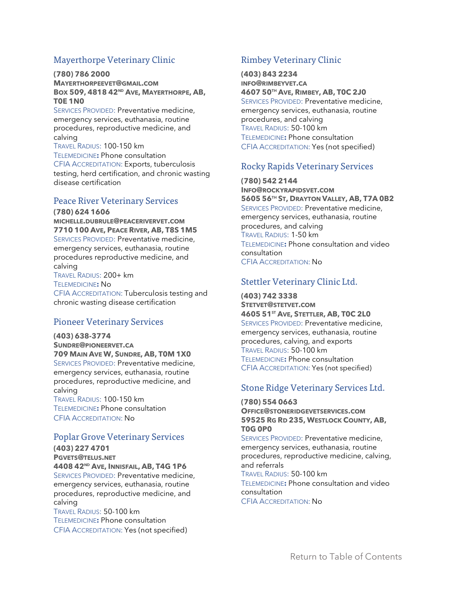## <span id="page-15-0"></span>Mayerthorpe Veterinary Clinic

**(780) 786 2000**

**MAYERTHORPEEVET@GMAIL.COM BOX 509, 4818 42ND AVE, MAYERTHORPE, AB, T0E 1N0**

SERVICES PROVIDED: Preventative medicine, emergency services, euthanasia, routine procedures, reproductive medicine, and calving

TRAVEL RADIUS: 100-150 km TELEMEDICINE**:** Phone consultation CFIA ACCREDITATION: Exports, tuberculosis testing, herd certification, and chronic wasting disease certification

## Peace River Veterinary Services

#### **(780) 624 1606**

**MICHELLE.DUBRULE@PEACERIVERVET.COM 7710 100 AVE, PEACE RIVER, AB, T8S 1M5** SERVICES PROVIDED: Preventative medicine, emergency services, euthanasia, routine procedures reproductive medicine, and calving

TRAVEL RADIUS: 200+ km TELEMEDICINE**:** No

CFIA ACCREDITATION: Tuberculosis testing and chronic wasting disease certification

## <span id="page-15-1"></span>Pioneer Veterinary Services

**(403) 638-3774 SUNDRE@PIONEERVET.CA 709 MAIN AVE W, SUNDRE, AB, T0M 1X0** SERVICES PROVIDED: Preventative medicine, emergency services, euthanasia, routine procedures, reproductive medicine, and calving

TRAVEL RADIUS: 100-150 km TELEMEDICINE**:** Phone consultation CFIA ACCREDITATION: No

## Poplar Grove Veterinary Services

**(403) 227 4701 PGVETS@TELUS.NET 4408 42ND AVE, INNISFAIL, AB, T4G 1P6** SERVICES PROVIDED: Preventative medicine, emergency services, euthanasia, routine procedures, reproductive medicine, and calving

TRAVEL RADIUS: 50-100 km TELEMEDICINE**:** Phone consultation CFIA ACCREDITATION: Yes (not specified)

## <span id="page-15-2"></span>Rimbey Veterinary Clinic

**(403) 843 2234 INFO@RIMBEYVET.CA 4607 50TH AVE, RIMBEY, AB, T0C 2J0** SERVICES PROVIDED: Preventative medicine, emergency services, euthanasia, routine procedures, and calving TRAVEL RADIUS: 50-100 km TELEMEDICINE**:** Phone consultation CFIA ACCREDITATION: Yes (not specified)

## <span id="page-15-3"></span>Rocky Rapids Veterinary Services

**(780) 542 2144 INFO@ROCKYRAPIDSVET.COM 5605 56TH ST, DRAYTON VALLEY, AB, T7A 0B2** SERVICES PROVIDED: Preventative medicine, emergency services, euthanasia, routine procedures, and calving TRAVEL RADIUS: 1-50 km TELEMEDICINE**:** Phone consultation and video consultation CFIA ACCREDITATION: No

## <span id="page-15-4"></span>Stettler Veterinary Clinic Ltd.

**(403) 742 3338 STETVET@STETVET.COM 4605 51ST AVE, STETTLER, AB, T0C 2L0** SERVICES PROVIDED: Preventative medicine, emergency services, euthanasia, routine procedures, calving, and exports TRAVEL RADIUS: 50-100 km TELEMEDICINE**:** Phone consultation CFIA ACCREDITATION: Yes (not specified)

## <span id="page-15-5"></span>Stone Ridge Veterinary Services Ltd.

**(780) 554 0663 OFFICE@STONERIDGEVETSERVICES.COM 59525 RG RD 235, WESTLOCK COUNTY, AB, T0G 0P0**

SERVICES PROVIDED: Preventative medicine, emergency services, euthanasia, routine procedures, reproductive medicine, calving, and referrals

TRAVEL RADIUS: 50-100 km TELEMEDICINE**:** Phone consultation and video consultation CFIA ACCREDITATION: No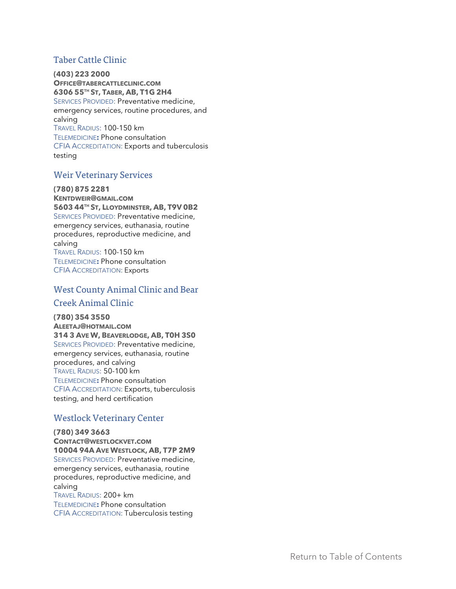## <span id="page-16-0"></span>Taber Cattle Clinic

**(403) 223 2000 OFFICE@TABERCATTLECLINIC.COM 6306 55TH ST, TABER, AB, T1G 2H4** SERVICES PROVIDED: Preventative medicine, emergency services, routine procedures, and calving TRAVEL RADIUS: 100-150 km TELEMEDICINE**:** Phone consultation CFIA ACCREDITATION: Exports and tuberculosis testing

#### <span id="page-16-1"></span>Weir Veterinary Services

**(780) 875 2281 KENTDWEIR@GMAIL.COM 5603 44TH ST, LLOYDMINSTER, AB, T9V 0B2** SERVICES PROVIDED: Preventative medicine, emergency services, euthanasia, routine procedures, reproductive medicine, and calving TRAVEL RADIUS: 100-150 km TELEMEDICINE**:** Phone consultation CFIA ACCREDITATION: Exports

# <span id="page-16-2"></span>West County Animal Clinic and Bear Creek Animal Clinic

#### **(780) 354 3550**

**ALEETAJ@HOTMAIL.COM 314 3 AVE W, BEAVERLODGE, AB, T0H 3S0** SERVICES PROVIDED: Preventative medicine, emergency services, euthanasia, routine procedures, and calving TRAVEL RADIUS: 50-100 km TELEMEDICINE**:** Phone consultation CFIA ACCREDITATION: Exports, tuberculosis testing, and herd certification

#### <span id="page-16-3"></span>Westlock Veterinary Center

**(780) 349 3663 CONTACT@WESTLOCKVET.COM 10004 94A AVE WESTLOCK, AB, T7P 2M9** SERVICES PROVIDED: Preventative medicine, emergency services, euthanasia, routine procedures, reproductive medicine, and calving TRAVEL RADIUS: 200+ km TELEMEDICINE**:** Phone consultation CFIA ACCREDITATION: Tuberculosis testing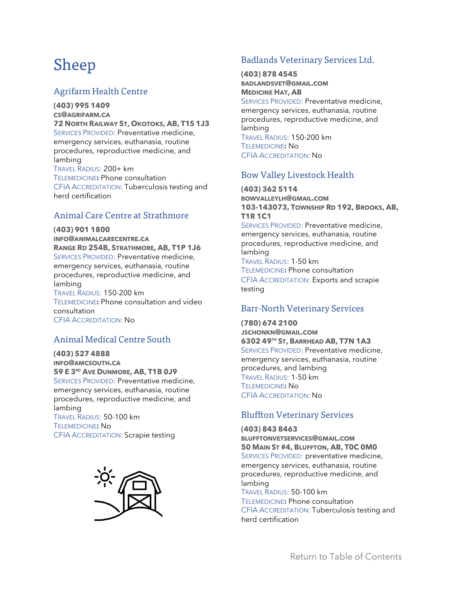# <span id="page-17-0"></span>Sheep

# <span id="page-17-1"></span>Agrifarm Health Centre

**(403) 995 1409 CS@AGRIFARM.CA 72 NORTH RAILWAY ST, OKOTOKS, AB, T1S 1J3** SERVICES PROVIDED: Preventative medicine, emergency services, euthanasia, routine procedures, reproductive medicine, and lambing TRAVEL RADIUS: 200+ km TELEMEDICINE**:** Phone consultation CFIA ACCREDITATION: Tuberculosis testing and herd certification

## <span id="page-17-2"></span>Animal Care Centre at Strathmore

#### **(403) 901 1800**

**INFO@ANIMALCARECENTRE.CA RANGE RD 254B, STRATHMORE, AB, T1P 1J6** SERVICES PROVIDED: Preventative medicine, emergency services, euthanasia, routine procedures, reproductive medicine, and lambing TRAVEL RADIUS: 150-200 km

TELEMEDICINE**:** Phone consultation and video consultation CFIA ACCREDITATION: No

## <span id="page-17-3"></span>Animal Medical Centre South

**(403) 527 4888 INFO@AMCSOUTH.CA 59 E 3 RD AVE DUNMORE, AB, T1B 0J9** SERVICES PROVIDED: Preventative medicine, emergency services, euthanasia, routine procedures, reproductive medicine, and lambing TRAVEL RADIUS: 50-100 km TELEMEDICINE**:** No CFIA ACCREDITATION: Scrapie testing



# <span id="page-17-4"></span>Badlands Veterinary Services Ltd.

#### **(403) 878 4545**

**BADLANDSVET@GMAIL.COM MEDICINE HAT, AB** SERVICES PROVIDED: Preventative medicine, emergency services, euthanasia, routine procedures, reproductive medicine, and lambing TRAVEL RADIUS: 150-200 km TELEMEDICINE**:** No CFIA ACCREDITATION: No

## <span id="page-17-5"></span>Bow Valley Livestock Health

#### **(403) 362 5114 BOWVALLEYLH@GMAIL.COM 103-143073, TOWNSHIP RD 192, BROOKS, AB, T1R 1C1**

SERVICES PROVIDED: Preventative medicine, emergency services, euthanasia, routine procedures, reproductive medicine, and lambing TRAVEL RADIUS: 1-50 km TELEMEDICINE**:** Phone consultation CFIA ACCREDITATION: Exports and scrapie

<span id="page-17-6"></span>testing

## Barr-North Veterinary Services

**(780) 674 2100 JSCHONKN@GMAIL.COM 6302 49TH ST, BARRHEAD AB, T7N 1A3** SERVICES PROVIDED: Preventative medicine, emergency services, euthanasia, routine procedures, and lambing TRAVEL RADIUS: 1-50 km TELEMEDICINE**:** No CFIA ACCREDITATION: No

## <span id="page-17-7"></span>Bluffton Veterinary Services

#### **(403) 843 8463**

**BLUFFTONVETSERVICES@GMAIL.COM 50 MAIN ST #4, BLUFFTON, AB, T0C 0M0** SERVICES PROVIDED: preventative medicine, emergency services, euthanasia, routine procedures, reproductive medicine, and lambing TRAVEL RADIUS: 50-100 km TELEMEDICINE**:** Phone consultation CFIA ACCREDITATION: Tuberculosis testing and herd certification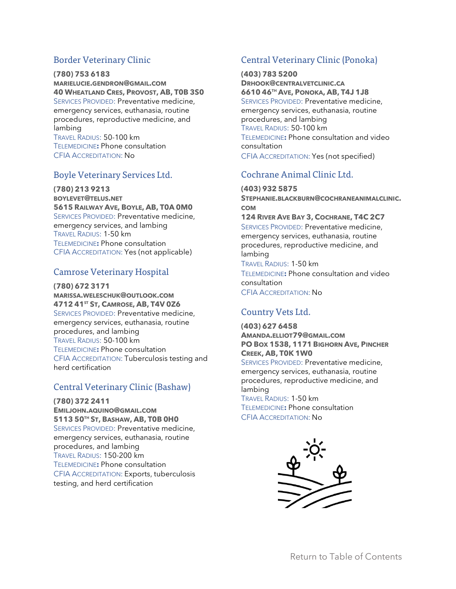## <span id="page-18-0"></span>Border Veterinary Clinic

**(780) 753 6183**

**MARIELUCIE.GENDRON@GMAIL.COM 40 WHEATLAND CRES, PROVOST, AB, T0B 3S0** SERVICES PROVIDED: Preventative medicine, emergency services, euthanasia, routine procedures, reproductive medicine, and lambing TRAVEL RADIUS: 50-100 km TELEMEDICINE**:** Phone consultation CFIA ACCREDITATION: No

## <span id="page-18-1"></span>Boyle Veterinary Services Ltd.

**(780) 213 9213 BOYLEVET@TELUS.NET 5615 RAILWAY AVE, BOYLE, AB, T0A 0M0** SERVICES PROVIDED: Preventative medicine, emergency services, and lambing TRAVEL RADIUS: 1-50 km TELEMEDICINE**:** Phone consultation CFIA ACCREDITATION: Yes (not applicable)

## <span id="page-18-2"></span>Camrose Veterinary Hospital

**(780) 672 3171**

**MARISSA.WELESCHUK@OUTLOOK.COM 4712 41ST ST, CAMROSE, AB, T4V 0Z6** SERVICES PROVIDED: Preventative medicine, emergency services, euthanasia, routine procedures, and lambing TRAVEL RADIUS: 50-100 km TELEMEDICINE**:** Phone consultation CFIA ACCREDITATION: Tuberculosis testing and herd certification

## <span id="page-18-3"></span>Central Veterinary Clinic (Bashaw)

**(780) 372 2411 EMILJOHN.AQUINO@GMAIL.COM 5113 50TH ST, BASHAW, AB, T0B 0H0** SERVICES PROVIDED: Preventative medicine, emergency services, euthanasia, routine procedures, and lambing TRAVEL RADIUS: 150-200 km TELEMEDICINE**:** Phone consultation CFIA ACCREDITATION: Exports, tuberculosis testing, and herd certification

## <span id="page-18-4"></span>Central Veterinary Clinic (Ponoka)

**(403) 783 5200 DRHOOK@CENTRALVETCLINIC.CA 6610 46TH AVE, PONOKA, AB, T4J 1J8** SERVICES PROVIDED: Preventative medicine, emergency services, euthanasia, routine procedures, and lambing TRAVEL RADIUS: 50-100 km TELEMEDICINE**:** Phone consultation and video consultation CFIA ACCREDITATION: Yes (not specified)

## <span id="page-18-5"></span>Cochrane Animal Clinic Ltd.

**(403) 932 5875 STEPHANIE.BLACKBURN@COCHRANEANIMALCLINIC. COM 124 RIVER AVE BAY 3, COCHRANE, T4C 2C7** SERVICES PROVIDED: Preventative medicine, emergency services, euthanasia, routine procedures, reproductive medicine, and lambing TRAVEL RADIUS: 1-50 km TELEMEDICINE**:** Phone consultation and video consultation CFIA ACCREDITATION: No

# <span id="page-18-6"></span>Country Vets Ltd.

**(403) 627 6458 AMANDA.ELLIOT79@GMAIL.COM PO BOX 1538, 1171 BIGHORN AVE, PINCHER CREEK, AB, T0K 1W0** SERVICES PROVIDED: Preventative medicine,

emergency services, euthanasia, routine procedures, reproductive medicine, and lambing TRAVEL RADIUS: 1-50 km

TELEMEDICINE**:** Phone consultation CFIA ACCREDITATION: No

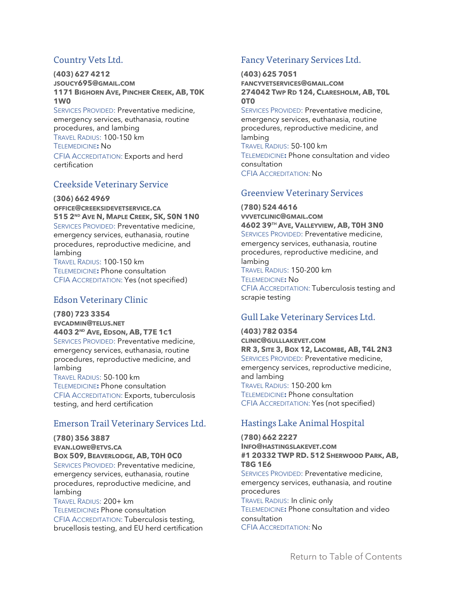## <span id="page-19-0"></span>Country Vets Ltd.

<span id="page-19-1"></span>certification

**(403) 627 4212 JSOUCY695@GMAIL.COM 1171 BIGHORN AVE, PINCHER CREEK, AB, T0K 1W0** SERVICES PROVIDED: Preventative medicine, emergency services, euthanasia, routine procedures, and lambing TRAVEL RADIUS: 100-150 km TELEMEDICINE**:** No CFIA ACCREDITATION: Exports and herd

## Creekside Veterinary Service

**(306) 662 4969 OFFICE@CREEKSIDEVETSERVICE.CA 515 2 ND AVE N, MAPLE CREEK, SK, S0N 1N0** SERVICES PROVIDED: Preventative medicine, emergency services, euthanasia, routine procedures, reproductive medicine, and lambing TRAVEL RADIUS: 100-150 km TELEMEDICINE**:** Phone consultation CFIA ACCREDITATION: Yes (not specified)

## <span id="page-19-2"></span>Edson Veterinary Clinic

**(780) 723 3354**

**EVCADMIN@TELUS.NET 4403 2 ND AVE, EDSON, AB, T7E 1C1** SERVICES PROVIDED: Preventative medicine, emergency services, euthanasia, routine procedures, reproductive medicine, and lambing TRAVEL RADIUS: 50-100 km

TELEMEDICINE**:** Phone consultation CFIA ACCREDITATION: Exports, tuberculosis testing, and herd certification

## <span id="page-19-3"></span>Emerson Trail Veterinary Services Ltd.

**(780) 356 3887 EVAN.LOWE@ETVS.CA BOX 509, BEAVERLODGE, AB, T0H 0C0** SERVICES PROVIDED: Preventative medicine, emergency services, euthanasia, routine procedures, reproductive medicine, and lambing TRAVEL RADIUS: 200+ km TELEMEDICINE**:** Phone consultation CFIA ACCREDITATION: Tuberculosis testing,

brucellosis testing, and EU herd certification

<span id="page-19-4"></span>Fancy Veterinary Services Ltd.

**(403) 625 7051 FANCYVETSERVICES@GMAIL.COM 274042 TWP RD 124, CLARESHOLM, AB, T0L**

**0T0** SERVICES PROVIDED: Preventative medicine, emergency services, euthanasia, routine procedures, reproductive medicine, and lambing TRAVEL RADIUS: 50-100 km TELEMEDICINE**:** Phone consultation and video consultation

<span id="page-19-5"></span>CFIA ACCREDITATION: No

#### Greenview Veterinary Services

**(780) 524 4616 VVVETCLINIC@GMAIL.COM 4602 39TH AVE, VALLEYVIEW, AB, T0H 3N0** SERVICES PROVIDED: Preventative medicine, emergency services, euthanasia, routine procedures, reproductive medicine, and lambing TRAVEL RADIUS: 150-200 km TELEMEDICINE**:** No CFIA ACCREDITATION: Tuberculosis testing and scrapie testing

## <span id="page-19-6"></span>Gull Lake Veterinary Services Ltd.

**(403) 782 0354 CLINIC@GULLLAKEVET.COM RR 3, SITE 3, BOX 12, LACOMBE, AB, T4L 2N3** SERVICES PROVIDED: Preventative medicine, emergency services, reproductive medicine, and lambing TRAVEL RADIUS: 150-200 km TELEMEDICINE**:** Phone consultation CFIA ACCREDITATION: Yes (not specified)

## <span id="page-19-7"></span>Hastings Lake Animal Hospital

**(780) 662 2227 INFO@HASTINGSLAKEVET.COM #1 20332 TWP RD. 512 SHERWOOD PARK, AB, T8G 1E6** SERVICES PROVIDED: Preventative medicine, emergency services, euthanasia, and routine procedures TRAVEL RADIUS: In clinic only TELEMEDICINE**:** Phone consultation and video consultation CFIA ACCREDITATION: No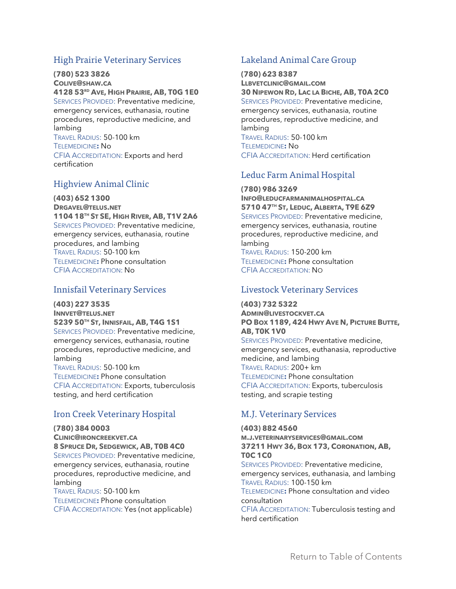## <span id="page-20-0"></span>High Prairie Veterinary Services

**(780) 523 3826 COLIVE@SHAW.CA 4128 53RD AVE, HIGH PRAIRIE, AB, T0G 1E0** SERVICES PROVIDED: Preventative medicine, emergency services, euthanasia, routine procedures, reproductive medicine, and lambing TRAVEL RADIUS: 50-100 km TELEMEDICINE**:** No CFIA ACCREDITATION: Exports and herd certification

## <span id="page-20-1"></span>Highview Animal Clinic

**(403) 652 1300 DRGAVEL@TELUS.NET 1104 18TH ST SE, HIGH RIVER, AB, T1V 2A6** SERVICES PROVIDED: Preventative medicine, emergency services, euthanasia, routine procedures, and lambing TRAVEL RADIUS: 50-100 km TELEMEDICINE**:** Phone consultation CFIA ACCREDITATION: No

## <span id="page-20-2"></span>Innisfail Veterinary Services

**(403) 227 3535 INNVET@TELUS.NET 5239 50TH ST, INNISFAIL, AB, T4G 1S1** SERVICES PROVIDED: Preventative medicine, emergency services, euthanasia, routine procedures, reproductive medicine, and lambing TRAVEL RADIUS: 50-100 km TELEMEDICINE**:** Phone consultation CFIA ACCREDITATION: Exports, tuberculosis

## Iron Creek Veterinary Hospital

<span id="page-20-3"></span>testing, and herd certification

**(780) 384 0003 CLINIC@IRONCREEKVET.CA 8 SPRUCE DR, SEDGEWICK, AB, T0B 4C0** SERVICES PROVIDED: Preventative medicine, emergency services, euthanasia, routine procedures, reproductive medicine, and lambing TRAVEL RADIUS: 50-100 km TELEMEDICINE**:** Phone consultation CFIA ACCREDITATION: Yes (not applicable)

## <span id="page-20-4"></span>Lakeland Animal Care Group

**(780) 623 8387**

**LLBVETCLINIC@GMAIL.COM 30 NIPEWON RD, LAC LA BICHE, AB, T0A 2C0** SERVICES PROVIDED: Preventative medicine, emergency services, euthanasia, routine procedures, reproductive medicine, and lambing TRAVEL RADIUS: 50-100 km TELEMEDICINE**:** No CFIA ACCREDITATION: Herd certification

## <span id="page-20-5"></span>Leduc Farm Animal Hospital

**(780) 986 3269 INFO@LEDUCFARMANIMALHOSPITAL.CA 5710 47TH ST, LEDUC, ALBERTA, T9E 6Z9** SERVICES PROVIDED: Preventative medicine, emergency services, euthanasia, routine procedures, reproductive medicine, and lambing TRAVEL RADIUS: 150-200 km TELEMEDICINE**:** Phone consultation CFIA ACCREDITATION: NO

## <span id="page-20-6"></span>Livestock Veterinary Services

**(403) 732 5322 ADMIN@LIVESTOCKVET.CA PO BOX 1189, 424 HWY AVE N, PICTURE BUTTE, AB, T0K 1V0**

SERVICES PROVIDED: Preventative medicine, emergency services, euthanasia, reproductive medicine, and lambing TRAVEL RADIUS: 200+ km TELEMEDICINE**:** Phone consultation CFIA ACCREDITATION: Exports, tuberculosis testing, and scrapie testing

## <span id="page-20-7"></span>M.J. Veterinary Services

#### **(403) 882 4560**

**M.J.VETERINARYSERVICES@GMAIL.COM 37211 HWY 36, BOX 173, CORONATION, AB, T0C 1C0**

SERVICES PROVIDED: Preventative medicine, emergency services, euthanasia, and lambing TRAVEL RADIUS: 100-150 km TELEMEDICINE**:** Phone consultation and video consultation

CFIA ACCREDITATION: Tuberculosis testing and herd certification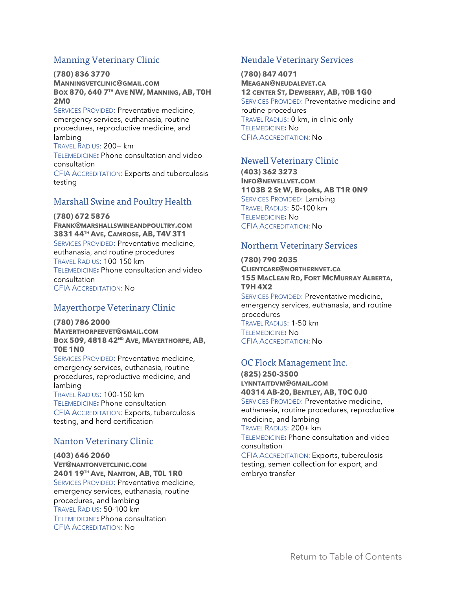## <span id="page-21-0"></span>Manning Veterinary Clinic

**(780) 836 3770 MANNINGVETCLINIC@GMAIL.COM BOX 870, 640 7 TH AVE NW, MANNING, AB, T0H 2M0**

SERVICES PROVIDED: Preventative medicine, emergency services, euthanasia, routine procedures, reproductive medicine, and lambing TRAVEL RADIUS: 200+ km TELEMEDICINE**:** Phone consultation and video

consultation CFIA ACCREDITATION: Exports and tuberculosis testing

## <span id="page-21-1"></span>Marshall Swine and Poultry Health

#### **(780) 672 5876**

**FRANK@MARSHALLSWINEANDPOULTRY.COM 3831 44TH AVE, CAMROSE, AB, T4V 3T1** SERVICES PROVIDED: Preventative medicine, euthanasia, and routine procedures TRAVEL RADIUS: 100-150 km TELEMEDICINE**:** Phone consultation and video consultation CFIA ACCREDITATION: No

## <span id="page-21-2"></span>Mayerthorpe Veterinary Clinic

**(780) 786 2000 MAYERTHORPEEVET@GMAIL.COM BOX 509, 4818 42ND AVE, MAYERTHORPE, AB, T0E 1N0** SERVICES PROVIDED: Preventative medicine,

emergency services, euthanasia, routine procedures, reproductive medicine, and lambing

TRAVEL RADIUS: 100-150 km TELEMEDICINE**:** Phone consultation CFIA ACCREDITATION: Exports, tuberculosis testing, and herd certification

## <span id="page-21-3"></span>Nanton Veterinary Clinic

**(403) 646 2060 VET@NANTONVETCLINIC.COM 2401 19TH AVE, NANTON, AB, T0L 1R0** SERVICES PROVIDED: Preventative medicine, emergency services, euthanasia, routine procedures, and lambing TRAVEL RADIUS: 50-100 km TELEMEDICINE**:** Phone consultation CFIA ACCREDITATION: No

## <span id="page-21-4"></span>Neudale Veterinary Services

**(780) 847 4071 MEAGAN@NEUDALEVET.CA 12 CENTER ST, DEWBERRY, AB, T0B 1G0** SERVICES PROVIDED: Preventative medicine and routine procedures TRAVEL RADIUS: 0 km, in clinic only TELEMEDICINE**:** No CFIA ACCREDITATION: No

## Newell Veterinary Clinic

**(403) 362 3273 INFO@NEWELLVET.COM 1103B 2 St W, Brooks, AB T1R 0N9** SERVICES PROVIDED: Lambing TRAVEL RADIUS: 50-100 km TELEMEDICINE**:** No CFIA ACCREDITATION: No

## <span id="page-21-5"></span>Northern Veterinary Services

**(780) 790 2035 CLIENTCARE@NORTHERNVET.CA 155 MACLEAN RD, FORT MCMURRAY ALBERTA, T9H 4X2** SERVICES PROVIDED: Preventative medicine, emergency services, euthanasia, and routine procedures TRAVEL RADIUS: 1-50 km TELEMEDICINE**:** No CFIA ACCREDITATION: No

## OC Flock Management Inc.

**(825) 250-3500 LYNNTAITDVM@GMAIL.COM 40314 AB-20, BENTLEY, AB, T0C 0J0** SERVICES PROVIDED: Preventative medicine, euthanasia, routine procedures, reproductive medicine, and lambing TRAVEL RADIUS: 200+ km TELEMEDICINE**:** Phone consultation and video consultation CFIA ACCREDITATION: Exports, tuberculosis

testing, semen collection for export, and embryo transfer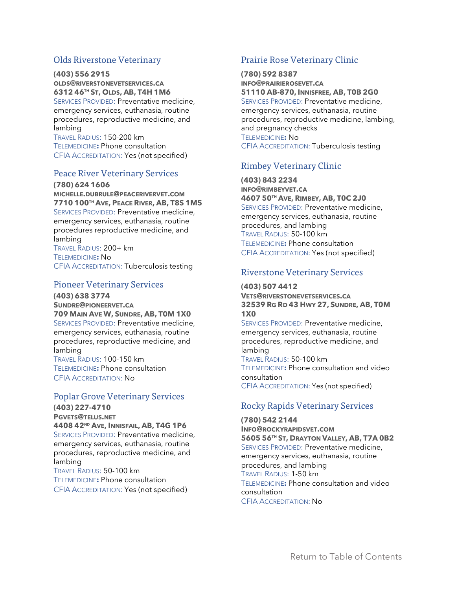## <span id="page-22-0"></span>Olds Riverstone Veterinary

**(403) 556 2915 OLDS@RIVERSTONEVETSERVICES.CA 6312 46TH ST, OLDS, AB, T4H 1M6**

SERVICES PROVIDED: Preventative medicine, emergency services, euthanasia, routine procedures, reproductive medicine, and lambing

TRAVEL RADIUS: 150-200 km TELEMEDICINE**:** Phone consultation CFIA ACCREDITATION: Yes (not specified)

#### Peace River Veterinary Services

**(780) 624 1606 MICHELLE.DUBRULE@PEACERIVERVET.COM 7710 100TH AVE, PEACE RIVER, AB, T8S 1M5** SERVICES PROVIDED: Preventative medicine, emergency services, euthanasia, routine procedures reproductive medicine, and lambing TRAVEL RADIUS: 200+ km TELEMEDICINE**:** No CFIA ACCREDITATION: Tuberculosis testing

#### Pioneer Veterinary Services

**(403) 638 3774 SUNDRE@PIONEERVET.CA 709 MAIN AVE W, SUNDRE, AB, T0M 1X0** SERVICES PROVIDED: Preventative medicine, emergency services, euthanasia, routine procedures, reproductive medicine, and lambing TRAVEL RADIUS: 100-150 km TELEMEDICINE**:** Phone consultation CFIA ACCREDITATION: No

## Poplar Grove Veterinary Services

**(403) 227-4710 PGVETS@TELUS.NET 4408 42ND AVE, INNISFAIL, AB, T4G 1P6** SERVICES PROVIDED: Preventative medicine, emergency services, euthanasia, routine procedures, reproductive medicine, and lambing TRAVEL RADIUS: 50-100 km TELEMEDICINE**:** Phone consultation CFIA ACCREDITATION: Yes (not specified)

## <span id="page-22-1"></span>Prairie Rose Veterinary Clinic

**(780) 592 8387 INFO@PRAIRIEROSEVET.CA 51110 AB-870, INNISFREE, AB, T0B 2G0** SERVICES PROVIDED: Preventative medicine, emergency services, euthanasia, routine procedures, reproductive medicine, lambing, and pregnancy checks TELEMEDICINE**:** No CFIA ACCREDITATION: Tuberculosis testing

## <span id="page-22-2"></span>Rimbey Veterinary Clinic

**(403) 843 2234 INFO@RIMBEYVET.CA 4607 50TH AVE, RIMBEY, AB, T0C 2J0** SERVICES PROVIDED: Preventative medicine, emergency services, euthanasia, routine procedures, and lambing TRAVEL RADIUS: 50-100 km TELEMEDICINE**:** Phone consultation CFIA ACCREDITATION: Yes (not specified)

#### <span id="page-22-3"></span>Riverstone Veterinary Services

**(403) 507 4412 VETS@RIVERSTONEVETSERVICES.CA 32539 RG RD 43 HWY 27, SUNDRE, AB, T0M 1X0**

SERVICES PROVIDED: Preventative medicine, emergency services, euthanasia, routine procedures, reproductive medicine, and lambing

TRAVEL RADIUS: 50-100 km TELEMEDICINE**:** Phone consultation and video consultation CFIA ACCREDITATION: Yes (not specified)

## <span id="page-22-4"></span>Rocky Rapids Veterinary Services

**(780) 542 2144**

**INFO@ROCKYRAPIDSVET.COM 5605 56TH ST, DRAYTON VALLEY, AB, T7A 0B2** SERVICES PROVIDED: Preventative medicine, emergency services, euthanasia, routine procedures, and lambing TRAVEL RADIUS: 1-50 km TELEMEDICINE**:** Phone consultation and video consultation CFIA ACCREDITATION: No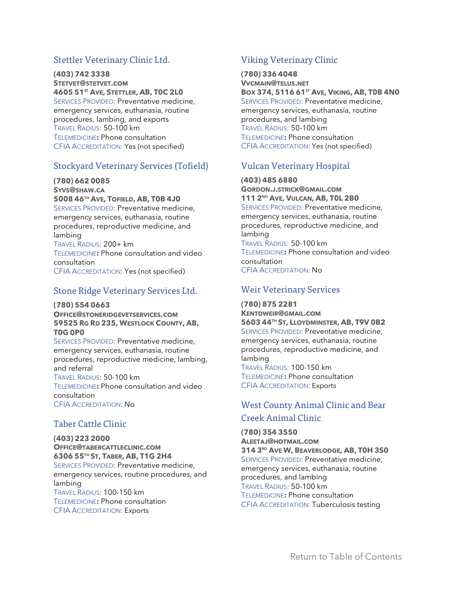## <span id="page-23-0"></span>Stettler Veterinary Clinic Ltd.

**(403) 742 3338 STETVET@STETVET.COM 4605 51ST AVE, STETTLER, AB, T0C 2L0** SERVICES PROVIDED: Preventative medicine, emergency services, euthanasia, routine procedures, lambing, and exports TRAVEL RADIUS: 50-100 km TELEMEDICINE**:** Phone consultation CFIA ACCREDITATION: Yes (not specified)

## <span id="page-23-1"></span>Stockyard Veterinary Services (Tofield)

## **(780) 662 0085 SYVS@SHAW.CA**

**5008 46TH AVE, TOFIELD, AB, T0B 4J0** SERVICES PROVIDED: Preventative medicine, emergency services, euthanasia, routine procedures, reproductive medicine, and lambing

TRAVEL RADIUS: 200+ km TELEMEDICINE**:** Phone consultation and video consultation CFIA ACCREDITATION: Yes (not specified)

## <span id="page-23-2"></span>Stone Ridge Veterinary Services Ltd.

#### **(780) 554 0663**

**OFFICE@STONERIDGEVETSERVICES.COM 59525 RG RD 235, WESTLOCK COUNTY, AB, T0G 0P0**

SERVICES PROVIDED: Preventative medicine, emergency services, euthanasia, routine procedures, reproductive medicine, lambing, and referral TRAVEL RADIUS: 50-100 km TELEMEDICINE**:** Phone consultation and video consultation

<span id="page-23-3"></span>CFIA ACCREDITATION: No

## Taber Cattle Clinic

**(403) 223 2000 OFFICE@TABERCATTLECLINIC.COM 6306 55TH ST, TABER, AB, T1G 2H4** SERVICES PROVIDED: Preventative medicine, emergency services, routine procedures, and lambing TRAVEL RADIUS: 100-150 km TELEMEDICINE**:** Phone consultation CFIA ACCREDITATION: Exports

# <span id="page-23-4"></span>Viking Veterinary Clinic

**(780) 336 4048 VVCMAIN@TELUS.NET BOX 374, 5116 61ST AVE, VIKING, AB, T0B 4N0** SERVICES PROVIDED: Preventative medicine, emergency services, euthanasia, routine procedures, and lambing TRAVEL RADIUS: 50-100 km TELEMEDICINE**:** Phone consultation CFIA ACCREDITATION: Yes (not specified)

## <span id="page-23-5"></span>Vulcan Veterinary Hospital

**(403) 485 6880 GORDON.J.STRICK@GMAIL.COM 111 2 ND AVE, VULCAN, AB, T0L 2B0** SERVICES PROVIDED: Preventative medicine, emergency services, euthanasia, routine procedures, reproductive medicine, and lambing TRAVEL RADIUS: 50-100 km TELEMEDICINE**:** Phone consultation and video consultation CFIA ACCREDITATION: No

## <span id="page-23-6"></span>Weir Veterinary Services

CFIA ACCREDITATION: Exports

**(780) 875 2281 KENTDWEIR@GMAIL.COM 5603 44TH ST, LLOYDMINSTER, AB, T9V 0B2** SERVICES PROVIDED: Preventative medicine, emergency services, euthanasia, routine procedures, reproductive medicine, and lambing TRAVEL RADIUS: 100-150 km TELEMEDICINE**:** Phone consultation

# <span id="page-23-7"></span>West County Animal Clinic and Bear Creek Animal Clinic

**(780) 354 3550 ALEETAJ@HOTMAIL.COM 314 3 RD AVE W, BEAVERLODGE, AB, T0H 3S0** SERVICES PROVIDED: Preventative medicine, emergency services, euthanasia, routine procedures, and lambing TRAVEL RADIUS: 50-100 km TELEMEDICINE**:** Phone consultation CFIA ACCREDITATION: Tuberculosis testing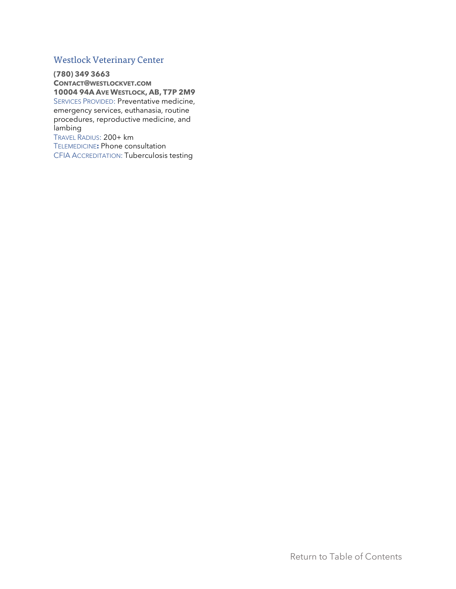## <span id="page-24-0"></span>Westlock Veterinary Center

**(780) 349 3663 CONTACT@WESTLOCKVET.COM 10004 94A AVE WESTLOCK, AB, T7P 2M9** SERVICES PROVIDED: Preventative medicine, emergency services, euthanasia, routine procedures, reproductive medicine, and lambing TRAVEL RADIUS: 200+ km TELEMEDICINE**:** Phone consultation CFIA ACCREDITATION: Tuberculosis testing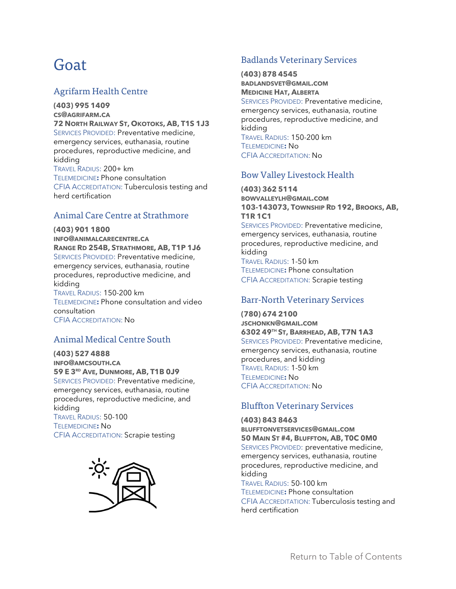# <span id="page-25-0"></span>Goat

## <span id="page-25-1"></span>Agrifarm Health Centre

**(403) 995 1409 CS@AGRIFARM.CA 72 NORTH RAILWAY ST, OKOTOKS, AB, T1S 1J3** SERVICES PROVIDED: Preventative medicine, emergency services, euthanasia, routine procedures, reproductive medicine, and kidding TRAVEL RADIUS: 200+ km TELEMEDICINE**:** Phone consultation CFIA ACCREDITATION: Tuberculosis testing and

## Animal Care Centre at Strathmore

#### **(403) 901 1800**

<span id="page-25-2"></span>herd certification

**INFO@ANIMALCARECENTRE.CA RANGE RD 254B, STRATHMORE, AB, T1P 1J6** SERVICES PROVIDED: Preventative medicine, emergency services, euthanasia, routine procedures, reproductive medicine, and kidding

TRAVEL RADIUS: 150-200 km TELEMEDICINE**:** Phone consultation and video consultation CFIA ACCREDITATION: No

## <span id="page-25-3"></span>Animal Medical Centre South

**(403) 527 4888 INFO@AMCSOUTH.CA 59 E 3 RD AVE, DUNMORE, AB, T1B 0J9** SERVICES PROVIDED: Preventative medicine, emergency services, euthanasia, routine procedures, reproductive medicine, and kidding TRAVEL RADIUS: 50-100 TELEMEDICINE**:** No CFIA ACCREDITATION: Scrapie testing



## <span id="page-25-4"></span>Badlands Veterinary Services

**(403) 878 4545**

**BADLANDSVET@GMAIL.COM MEDICINE HAT, ALBERTA** SERVICES PROVIDED: Preventative medicine, emergency services, euthanasia, routine procedures, reproductive medicine, and kidding TRAVEL RADIUS: 150-200 km TELEMEDICINE**:** No CFIA ACCREDITATION: No

## <span id="page-25-5"></span>Bow Valley Livestock Health

#### **(403) 362 5114 BOWVALLEYLH@GMAIL.COM 103-143073, TOWNSHIP RD 192, BROOKS, AB, T1R 1C1**

SERVICES PROVIDED: Preventative medicine, emergency services, euthanasia, routine procedures, reproductive medicine, and kidding TRAVEL RADIUS: 1-50 km TELEMEDICINE**:** Phone consultation CFIA ACCREDITATION: Scrapie testing

#### <span id="page-25-6"></span>Barr-North Veterinary Services

**(780) 674 2100 JSCHONKN@GMAIL.COM 6302 49TH ST, BARRHEAD, AB, T7N 1A3** SERVICES PROVIDED: Preventative medicine, emergency services, euthanasia, routine procedures, and kidding TRAVEL RADIUS: 1-50 km TELEMEDICINE**:** No CFIA ACCREDITATION: No

## <span id="page-25-7"></span>Bluffton Veterinary Services

#### **(403) 843 8463**

**BLUFFTONVETSERVICES@GMAIL.COM 50 MAIN ST #4, BLUFFTON, AB, T0C 0M0** SERVICES PROVIDED: preventative medicine, emergency services, euthanasia, routine procedures, reproductive medicine, and kidding TRAVEL RADIUS: 50-100 km TELEMEDICINE**:** Phone consultation CFIA ACCREDITATION: Tuberculosis testing and herd certification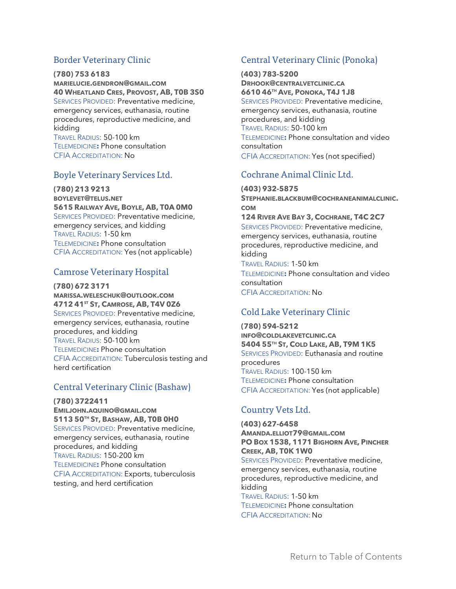## <span id="page-26-0"></span>Border Veterinary Clinic

**(780) 753 6183**

**MARIELUCIE.GENDRON@GMAIL.COM 40 WHEATLAND CRES, PROVOST, AB, T0B 3S0** SERVICES PROVIDED: Preventative medicine, emergency services, euthanasia, routine procedures, reproductive medicine, and kidding TRAVEL RADIUS: 50-100 km TELEMEDICINE**:** Phone consultation CFIA ACCREDITATION: No

## <span id="page-26-1"></span>Boyle Veterinary Services Ltd.

**(780) 213 9213 BOYLEVET@TELUS.NET 5615 RAILWAY AVE, BOYLE, AB, T0A 0M0** SERVICES PROVIDED: Preventative medicine, emergency services, and kidding TRAVEL RADIUS: 1-50 km TELEMEDICINE**:** Phone consultation CFIA ACCREDITATION: Yes (not applicable)

## <span id="page-26-2"></span>Camrose Veterinary Hospital

**(780) 672 3171 MARISSA.WELESCHUK@OUTLOOK.COM**

**4712 41ST ST, CAMROSE, AB, T4V 0Z6** SERVICES PROVIDED: Preventative medicine, emergency services, euthanasia, routine procedures, and kidding TRAVEL RADIUS: 50-100 km TELEMEDICINE**:** Phone consultation CFIA ACCREDITATION: Tuberculosis testing and herd certification

## <span id="page-26-3"></span>Central Veterinary Clinic (Bashaw)

**(780) 3722411 EMILJOHN.AQUINO@GMAIL.COM 5113 50TH ST, BASHAW, AB, T0B 0H0** SERVICES PROVIDED: Preventative medicine, emergency services, euthanasia, routine procedures, and kidding TRAVEL RADIUS: 150-200 km TELEMEDICINE**:** Phone consultation CFIA ACCREDITATION: Exports, tuberculosis testing, and herd certification

## <span id="page-26-4"></span>Central Veterinary Clinic (Ponoka)

**(403) 783-5200 DRHOOK@CENTRALVETCLINIC.CA 6610 46TH AVE, PONOKA, T4J 1J8** SERVICES PROVIDED: Preventative medicine, emergency services, euthanasia, routine procedures, and kidding TRAVEL RADIUS: 50-100 km TELEMEDICINE**:** Phone consultation and video consultation CFIA ACCREDITATION: Yes (not specified)

## <span id="page-26-5"></span>Cochrane Animal Clinic Ltd.

**(403) 932-5875 STEPHANIE.BLACKBUM@COCHRANEANIMALCLINIC. COM 124 RIVER AVE BAY 3, COCHRANE, T4C 2C7** SERVICES PROVIDED: Preventative medicine, emergency services, euthanasia, routine procedures, reproductive medicine, and kidding TRAVEL RADIUS: 1-50 km TELEMEDICINE**:** Phone consultation and video consultation CFIA ACCREDITATION: No

## <span id="page-26-6"></span>Cold Lake Veterinary Clinic

**(780) 594-5212 INFO@COLDLAKEVETCLINIC.CA 5404 55TH ST, COLD LAKE, AB, T9M 1K5** SERVICES PROVIDED: Euthanasia and routine procedures TRAVEL RADIUS: 100-150 km TELEMEDICINE**:** Phone consultation CFIA ACCREDITATION: Yes (not applicable)

# <span id="page-26-7"></span>Country Vets Ltd.

**(403) 627-6458 AMANDA.ELLIOT79@GMAIL.COM PO BOX 1538, 1171 BIGHORN AVE, PINCHER CREEK, AB, T0K 1W0** SERVICES PROVIDED: Preventative medicine, emergency services, euthanasia, routine procedures, reproductive medicine, and kidding

TRAVEL RADIUS: 1-50 km TELEMEDICINE**:** Phone consultation CFIA ACCREDITATION: No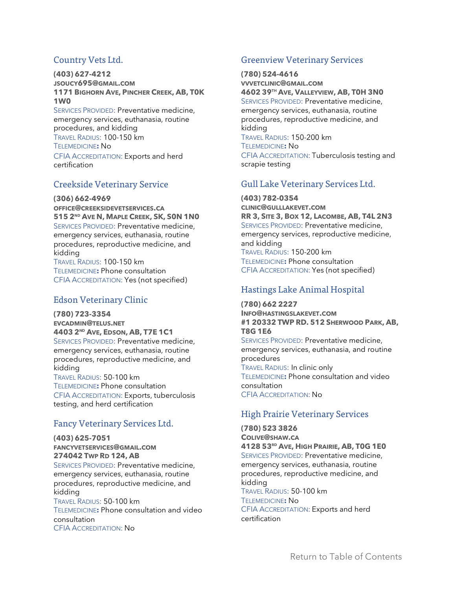## <span id="page-27-0"></span>Country Vets Ltd.

**(403) 627-4212 JSOUCY695@GMAIL.COM 1171 BIGHORN AVE, PINCHER CREEK, AB, T0K 1W0** SERVICES PROVIDED: Preventative medicine, emergency services, euthanasia, routine procedures, and kidding TRAVEL RADIUS: 100-150 km

#### TELEMEDICINE**:** No

CFIA ACCREDITATION: Exports and herd certification

#### <span id="page-27-1"></span>Creekside Veterinary Service

**(306) 662-4969**

**OFFICE@CREEKSIDEVETSERVICES.CA 515 2 ND AVE N, MAPLE CREEK, SK, S0N 1N0** SERVICES PROVIDED: Preventative medicine, emergency services, euthanasia, routine procedures, reproductive medicine, and kidding TRAVEL RADIUS: 100-150 km

TELEMEDICINE**:** Phone consultation CFIA ACCREDITATION: Yes (not specified)

#### <span id="page-27-2"></span>Edson Veterinary Clinic

#### **(780) 723-3354**

**EVCADMIN@TELUS.NET 4403 2 ND AVE, EDSON, AB, T7E 1C1** SERVICES PROVIDED: Preventative medicine, emergency services, euthanasia, routine procedures, reproductive medicine, and kidding

TRAVEL RADIUS: 50-100 km TELEMEDICINE**:** Phone consultation CFIA ACCREDITATION: Exports, tuberculosis testing, and herd certification

#### <span id="page-27-3"></span>Fancy Veterinary Services Ltd.

**(403) 625-7051 FANCYVETSERVICES@GMAIL.COM 274042 TWP RD 124, AB** SERVICES PROVIDED: Preventative medicine, emergency services, euthanasia, routine procedures, reproductive medicine, and kidding TRAVEL RADIUS: 50-100 km TELEMEDICINE**:** Phone consultation and video consultation

CFIA ACCREDITATION: No

## <span id="page-27-4"></span>Greenview Veterinary Services

**(780) 524-4616 VVVETCLINIC@GMAIL.COM 4602 39TH AVE, VALLEYVIEW, AB, T0H 3N0** SERVICES PROVIDED: Preventative medicine, emergency services, euthanasia, routine procedures, reproductive medicine, and kidding TRAVEL RADIUS: 150-200 km TELEMEDICINE**:** No CFIA ACCREDITATION: Tuberculosis testing and scrapie testing

## <span id="page-27-5"></span>Gull Lake Veterinary Services Ltd.

**(403) 782-0354 CLINIC@GULLLAKEVET.COM RR 3, SITE 3, BOX 12, LACOMBE, AB, T4L 2N3** SERVICES PROVIDED: Preventative medicine, emergency services, reproductive medicine, and kidding TRAVEL RADIUS: 150-200 km TELEMEDICINE**:** Phone consultation CFIA ACCREDITATION: Yes (not specified)

## <span id="page-27-6"></span>Hastings Lake Animal Hospital

**(780) 662 2227 INFO@HASTINGSLAKEVET.COM #1 20332 TWP RD. 512 SHERWOOD PARK, AB, T8G 1E6** SERVICES PROVIDED: Preventative medicine, emergency services, euthanasia, and routine

procedures TRAVEL RADIUS: In clinic only TELEMEDICINE**:** Phone consultation and video consultation CFIA ACCREDITATION: No

## <span id="page-27-7"></span>High Prairie Veterinary Services

**(780) 523 3826 COLIVE@SHAW.CA 4128 53RD AVE, HIGH PRAIRIE, AB, T0G 1E0** SERVICES PROVIDED: Preventative medicine, emergency services, euthanasia, routine procedures, reproductive medicine, and kidding TRAVEL RADIUS: 50-100 km TELEMEDICINE**:** No CFIA ACCREDITATION: Exports and herd certification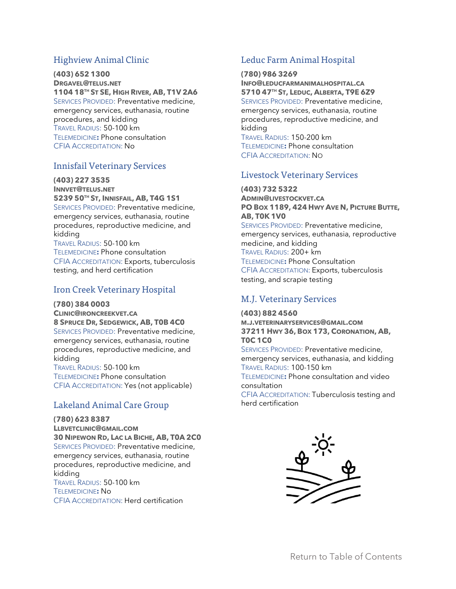## <span id="page-28-0"></span>Highview Animal Clinic

**(403) 652 1300 DRGAVEL@TELUS.NET 1104 18TH ST SE, HIGH RIVER, AB, T1V 2A6** SERVICES PROVIDED: Preventative medicine, emergency services, euthanasia, routine procedures, and kidding TRAVEL RADIUS: 50-100 km TELEMEDICINE**:** Phone consultation CFIA ACCREDITATION: No

## <span id="page-28-1"></span>Innisfail Veterinary Services

**(403) 227 3535 INNVET@TELUS.NET 5239 50TH ST, INNISFAIL, AB, T4G 1S1** SERVICES PROVIDED: Preventative medicine, emergency services, euthanasia, routine procedures, reproductive medicine, and

kidding TRAVEL RADIUS: 50-100 km TELEMEDICINE**:** Phone consultation CFIA ACCREDITATION: Exports, tuberculosis testing, and herd certification

## <span id="page-28-2"></span>Iron Creek Veterinary Hospital

**(780) 384 0003**

**CLINIC@IRONCREEKVET.CA 8 SPRUCE DR, SEDGEWICK, AB, T0B 4C0** SERVICES PROVIDED: Preventative medicine, emergency services, euthanasia, routine procedures, reproductive medicine, and kidding

TRAVEL RADIUS: 50-100 km TELEMEDICINE**:** Phone consultation CFIA ACCREDITATION: Yes (not applicable)

## <span id="page-28-3"></span>Lakeland Animal Care Group

#### **(780) 623 8387**

**LLBVETCLINIC@GMAIL.COM 30 NIPEWON RD, LAC LA BICHE, AB, T0A 2C0** SERVICES PROVIDED: Preventative medicine, emergency services, euthanasia, routine procedures, reproductive medicine, and kidding TRAVEL RADIUS: 50-100 km TELEMEDICINE**:** No CFIA ACCREDITATION: Herd certification

## <span id="page-28-4"></span>Leduc Farm Animal Hospital

## **(780) 986 3269**

**INFO@LEDUCFARMANIMALHOSPITAL.CA 5710 47TH ST, LEDUC, ALBERTA, T9E 6Z9** SERVICES PROVIDED: Preventative medicine, emergency services, euthanasia, routine procedures, reproductive medicine, and kidding TRAVEL RADIUS: 150-200 km TELEMEDICINE**:** Phone consultation CFIA ACCREDITATION: NO

## <span id="page-28-5"></span>Livestock Veterinary Services

#### **(403) 732 5322 ADMIN@LIVESTOCKVET.CA PO BOX 1189, 424 HWY AVE N, PICTURE BUTTE, AB, T0K 1V0** SERVICES PROVIDED: Preventative medicine, emergency services, euthanasia, reproductive medicine, and kidding TRAVEL RADIUS: 200+ km TELEMEDICINE**:** Phone Consultation CFIA ACCREDITATION: Exports, tuberculosis testing, and scrapie testing

## <span id="page-28-6"></span>M.J. Veterinary Services

#### **(403) 882 4560**

**M.J.VETERINARYSERVICES@GMAIL.COM 37211 HWY 36, BOX 173, CORONATION, AB, T0C 1C0**

SERVICES PROVIDED: Preventative medicine, emergency services, euthanasia, and kidding TRAVEL RADIUS: 100-150 km

TELEMEDICINE**:** Phone consultation and video consultation

CFIA ACCREDITATION: Tuberculosis testing and herd certification

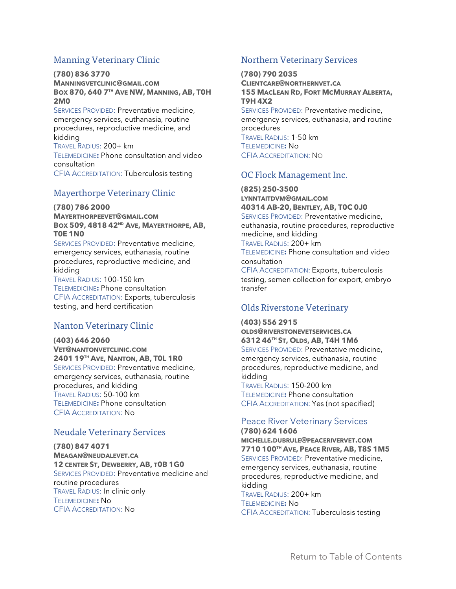## <span id="page-29-0"></span>Manning Veterinary Clinic

**(780) 836 3770**

**MANNINGVETCLINIC@GMAIL.COM BOX 870, 640 7 TH AVE NW, MANNING, AB, T0H 2M0**

SERVICES PROVIDED: Preventative medicine, emergency services, euthanasia, routine procedures, reproductive medicine, and kidding

TRAVEL RADIUS: 200+ km TELEMEDICINE**:** Phone consultation and video consultation CFIA ACCREDITATION: Tuberculosis testing

## <span id="page-29-1"></span>Mayerthorpe Veterinary Clinic

**(780) 786 2000**

**MAYERTHORPEEVET@GMAIL.COM BOX 509, 4818 42ND AVE, MAYERTHORPE, AB, T0E 1N0**

SERVICES PROVIDED: Preventative medicine, emergency services, euthanasia, routine procedures, reproductive medicine, and kidding

TRAVEL RADIUS: 100-150 km TELEMEDICINE**:** Phone consultation CFIA ACCREDITATION: Exports, tuberculosis testing, and herd certification

# <span id="page-29-2"></span>Nanton Veterinary Clinic

**(403) 646 2060 VET@NANTONVETCLINIC.COM 2401 19TH AVE, NANTON, AB, T0L 1R0** SERVICES PROVIDED: Preventative medicine, emergency services, euthanasia, routine procedures, and kidding TRAVEL RADIUS: 50-100 km TELEMEDICINE**:** Phone consultation CFIA ACCREDITATION: No

## <span id="page-29-3"></span>Neudale Veterinary Services

**(780) 847 4071 MEAGAN@NEUDALEVET.CA 12 CENTER ST, DEWBERRY, AB, T0B 1G0** SERVICES PROVIDED: Preventative medicine and routine procedures TRAVEL RADIUS: In clinic only TELEMEDICINE**:** No CFIA ACCREDITATION: No

## <span id="page-29-4"></span>Northern Veterinary Services

**(780) 790 2035 CLIENTCARE@NORTHERNVET.CA 155 MACLEAN RD, FORT MCMURRAY ALBERTA, T9H 4X2** SERVICES PROVIDED: Preventative medicine, emergency services, euthanasia, and routine procedures TRAVEL RADIUS: 1-50 km TELEMEDICINE**:** No CFIA ACCREDITATION: NO

## <span id="page-29-5"></span>OC Flock Management Inc.

**(825) 250-3500 LYNNTAITDVM@GMAIL.COM 40314 AB-20, BENTLEY, AB, T0C 0J0** SERVICES PROVIDED: Preventative medicine, euthanasia, routine procedures, reproductive medicine, and kidding TRAVEL RADIUS: 200+ km TELEMEDICINE**:** Phone consultation and video consultation CFIA ACCREDITATION: Exports, tuberculosis testing, semen collection for export, embryo transfer

## <span id="page-29-6"></span>Olds Riverstone Veterinary

#### **(403) 556 2915**

**OLDS@RIVERSTONEVETSERVICES.CA 6312 46TH ST, OLDS, AB, T4H 1M6** SERVICES PROVIDED: Preventative medicine, emergency services, euthanasia, routine procedures, reproductive medicine, and kidding TRAVEL RADIUS: 150-200 km TELEMEDICINE**:** Phone consultation CFIA ACCREDITATION: Yes (not specified)

## Peace River Veterinary Services

**(780) 624 1606 MICHELLE.DUBRULE@PEACERIVERVET.COM 7710 100TH AVE, PEACE RIVER, AB, T8S 1M5** SERVICES PROVIDED: Preventative medicine, emergency services, euthanasia, routine procedures, reproductive medicine, and kidding TRAVEL RADIUS: 200+ km TELEMEDICINE**:** No CFIA ACCREDITATION: Tuberculosis testing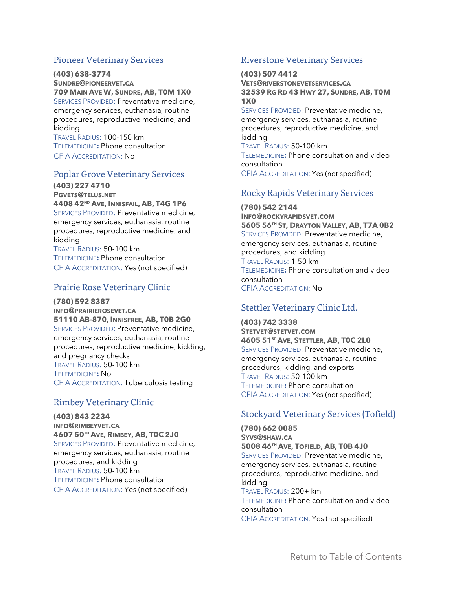## <span id="page-30-0"></span>Pioneer Veterinary Services

**(403) 638-3774 SUNDRE@PIONEERVET.CA 709 MAIN AVE W, SUNDRE, AB, T0M 1X0** SERVICES PROVIDED: Preventative medicine, emergency services, euthanasia, routine procedures, reproductive medicine, and kidding TRAVEL RADIUS: 100-150 km TELEMEDICINE**:** Phone consultation

CFIA ACCREDITATION: No

#### Poplar Grove Veterinary Services

**(403) 227 4710 PGVETS@TELUS.NET 4408 42ND AVE, INNISFAIL, AB, T4G 1P6** SERVICES PROVIDED: Preventative medicine, emergency services, euthanasia, routine procedures, reproductive medicine, and kidding TRAVEL RADIUS: 50-100 km TELEMEDICINE**:** Phone consultation CFIA ACCREDITATION: Yes (not specified)

#### <span id="page-30-1"></span>Prairie Rose Veterinary Clinic

**(780) 592 8387 INFO@PRAIRIEROSEVET.CA 51110 AB-870, INNISFREE, AB, T0B 2G0** SERVICES PROVIDED: Preventative medicine, emergency services, euthanasia, routine procedures, reproductive medicine, kidding, and pregnancy checks TRAVEL RADIUS: 50-100 km TELEMEDICINE**:** No CFIA ACCREDITATION: Tuberculosis testing

#### <span id="page-30-2"></span>Rimbey Veterinary Clinic

**(403) 843 2234 INFO@RIMBEYVET.CA 4607 50TH AVE, RIMBEY, AB, T0C 2J0** SERVICES PROVIDED: Preventative medicine, emergency services, euthanasia, routine procedures, and kidding TRAVEL RADIUS: 50-100 km TELEMEDICINE**:** Phone consultation CFIA ACCREDITATION: Yes (not specified)

## <span id="page-30-3"></span>Riverstone Veterinary Services

**(403) 507 4412**

**VETS@RIVERSTONEVETSERVICES.CA 32539 RG RD 43 HWY 27, SUNDRE, AB, T0M 1X0**

SERVICES PROVIDED: Preventative medicine, emergency services, euthanasia, routine procedures, reproductive medicine, and kidding TRAVEL RADIUS: 50-100 km

TELEMEDICINE**:** Phone consultation and video consultation CFIA ACCREDITATION: Yes (not specified)

## <span id="page-30-4"></span>Rocky Rapids Veterinary Services

**(780) 542 2144 INFO@ROCKYRAPIDSVET.COM 5605 56TH ST, DRAYTON VALLEY, AB, T7A 0B2** SERVICES PROVIDED: Preventative medicine, emergency services, euthanasia, routine procedures, and kidding TRAVEL RADIUS: 1-50 km TELEMEDICINE**:** Phone consultation and video consultation CFIA ACCREDITATION: No

## <span id="page-30-5"></span>Stettler Veterinary Clinic Ltd.

**(403) 742 3338 STETVET@STETVET.COM 4605 51ST AVE, STETTLER, AB, T0C 2L0** SERVICES PROVIDED: Preventative medicine, emergency services, euthanasia, routine procedures, kidding, and exports TRAVEL RADIUS: 50-100 km TELEMEDICINE**:** Phone consultation CFIA ACCREDITATION: Yes (not specified)

## <span id="page-30-6"></span>Stockyard Veterinary Services (Tofield)

**(780) 662 0085 SYVS@SHAW.CA 5008 46TH AVE, TOFIELD, AB, T0B 4J0** SERVICES PROVIDED: Preventative medicine, emergency services, euthanasia, routine procedures, reproductive medicine, and kidding TRAVEL RADIUS: 200+ km TELEMEDICINE**:** Phone consultation and video consultation CFIA ACCREDITATION: Yes (not specified)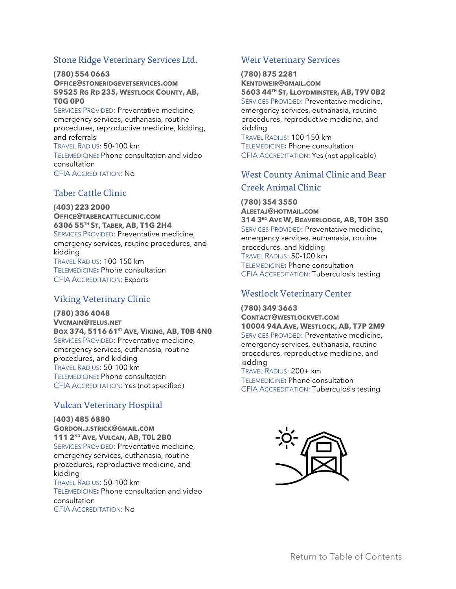## <span id="page-31-0"></span>Stone Ridge Veterinary Services Ltd.

**(780) 554 0663 OFFICE@STONERIDGEVETSERVICES.COM 59525 RG RD 235, WESTLOCK COUNTY, AB, T0G 0P0**

SERVICES PROVIDED: Preventative medicine, emergency services, euthanasia, routine procedures, reproductive medicine, kidding, and referrals TRAVEL RADIUS: 50-100 km TELEMEDICINE**:** Phone consultation and video consultation CFIA ACCREDITATION: No

## <span id="page-31-1"></span>Taber Cattle Clinic

**(403) 223 2000 OFFICE@TABERCATTLECLINIC.COM 6306 55TH ST, TABER, AB, T1G 2H4** SERVICES PROVIDED: Preventative medicine, emergency services, routine procedures, and kidding TRAVEL RADIUS: 100-150 km TELEMEDICINE**:** Phone consultation CFIA ACCREDITATION: Exports

## <span id="page-31-2"></span>Viking Veterinary Clinic

**(780) 336 4048 VVCMAIN@TELUS.NET BOX 374, 5116 61ST AVE, VIKING, AB, T0B 4N0** SERVICES PROVIDED: Preventative medicine, emergency services, euthanasia, routine procedures, and kidding TRAVEL RADIUS: 50-100 km TELEMEDICINE**:** Phone consultation CFIA ACCREDITATION: Yes (not specified)

## <span id="page-31-3"></span>Vulcan Veterinary Hospital

#### **(403) 485 6880**

**GORDON.J.STRICK@GMAIL.COM 111 2 ND AVE, VULCAN, AB, T0L 2B0** SERVICES PROVIDED: Preventative medicine, emergency services, euthanasia, routine procedures, reproductive medicine, and kidding TRAVEL RADIUS: 50-100 km TELEMEDICINE**:** Phone consultation and video consultation CFIA ACCREDITATION: No

## <span id="page-31-4"></span>Weir Veterinary Services

**(780) 875 2281 KENTDWEIR@GMAIL.COM 5603 44TH ST, LLOYDMINSTER, AB, T9V 0B2** SERVICES PROVIDED: Preventative medicine, emergency services, euthanasia, routine procedures, reproductive medicine, and kidding TRAVEL RADIUS: 100-150 km TELEMEDICINE**:** Phone consultation CFIA ACCREDITATION: Yes (not applicable)

# <span id="page-31-5"></span>West County Animal Clinic and Bear Creek Animal Clinic

**(780) 354 3550 ALEETAJ@HOTMAIL.COM 314 3 RD AVE W, BEAVERLODGE, AB, T0H 3S0** SERVICES PROVIDED: Preventative medicine, emergency services, euthanasia, routine procedures, and kidding TRAVEL RADIUS: 50-100 km TELEMEDICINE**:** Phone consultation CFIA ACCREDITATION: Tuberculosis testing

#### <span id="page-31-6"></span>Westlock Veterinary Center

**(780) 349 3663 CONTACT@WESTLOCKVET.COM 10004 94A AVE, WESTLOCK, AB, T7P 2M9** SERVICES PROVIDED: Preventative medicine, emergency services, euthanasia, routine procedures, reproductive medicine, and kidding TRAVEL RADIUS: 200+ km TELEMEDICINE**:** Phone consultation CFIA ACCREDITATION: Tuberculosis testing

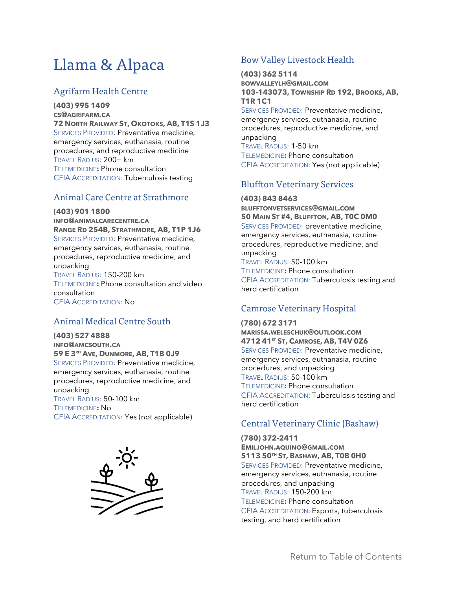# <span id="page-32-0"></span>Llama & Alpaca

## <span id="page-32-1"></span>Agrifarm Health Centre

**(403) 995 1409 CS@AGRIFARM.CA 72 NORTH RAILWAY ST, OKOTOKS, AB, T1S 1J3** SERVICES PROVIDED: Preventative medicine, emergency services, euthanasia, routine procedures, and reproductive medicine TRAVEL RADIUS: 200+ km TELEMEDICINE**:** Phone consultation CFIA ACCREDITATION: Tuberculosis testing

## <span id="page-32-2"></span>Animal Care Centre at Strathmore

**(403) 901 1800 INFO@ANIMALCARECENTRE.CA RANGE RD 254B, STRATHMORE, AB, T1P 1J6** SERVICES PROVIDED: Preventative medicine, emergency services, euthanasia, routine procedures, reproductive medicine, and unpacking TRAVEL RADIUS: 150-200 km TELEMEDICINE**:** Phone consultation and video consultation CFIA ACCREDITATION: No

## <span id="page-32-3"></span>Animal Medical Centre South

**(403) 527 4888 INFO@AMCSOUTH.CA 59 E 3 RD AVE, DUNMORE, AB, T1B 0J9** SERVICES PROVIDED: Preventative medicine, emergency services, euthanasia, routine procedures, reproductive medicine, and unpacking TRAVEL RADIUS: 50-100 km TELEMEDICINE**:** No CFIA ACCREDITATION: Yes (not applicable)



## <span id="page-32-4"></span>Bow Valley Livestock Health

**(403) 362 5114 BOWVALLEYLH@GMAIL.COM 103-143073, TOWNSHIP RD 192, BROOKS, AB,**

**T1R 1C1** SERVICES PROVIDED: Preventative medicine, emergency services, euthanasia, routine procedures, reproductive medicine, and unpacking TRAVEL RADIUS: 1-50 km TELEMEDICINE**:** Phone consultation CFIA ACCREDITATION: Yes (not applicable)

## <span id="page-32-5"></span>Bluffton Veterinary Services

#### **(403) 843 8463 BLUFFTONVETSERVICES@GMAIL.COM 50 MAIN ST #4, BLUFFTON, AB, T0C 0M0** SERVICES PROVIDED: preventative medicine,

emergency services, euthanasia, routine procedures, reproductive medicine, and unpacking TRAVEL RADIUS: 50-100 km TELEMEDICINE**:** Phone consultation CFIA ACCREDITATION: Tuberculosis testing and herd certification

# <span id="page-32-6"></span>Camrose Veterinary Hospital

**(780) 672 3171 MARISSA.WELESCHUK@OUTLOOK.COM 4712 41ST ST, CAMROSE, AB, T4V 0Z6** SERVICES PROVIDED: Preventative medicine, emergency services, euthanasia, routine procedures, and unpacking TRAVEL RADIUS: 50-100 km TELEMEDICINE**:** Phone consultation CFIA ACCREDITATION: Tuberculosis testing and herd certification

## <span id="page-32-7"></span>Central Veterinary Clinic (Bashaw)

**(780) 372-2411 EMILJOHN.AQUINO@GMAIL.COM 5113 50TH ST, BASHAW, AB, T0B 0H0** SERVICES PROVIDED: Preventative medicine, emergency services, euthanasia, routine procedures, and unpacking TRAVEL RADIUS: 150-200 km TELEMEDICINE**:** Phone consultation CFIA ACCREDITATION: Exports, tuberculosis testing, and herd certification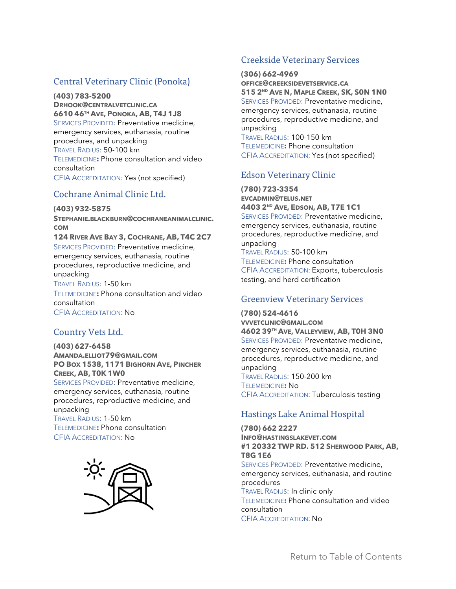## <span id="page-33-0"></span>Central Veterinary Clinic (Ponoka)

**(403) 783-5200 DRHOOK@CENTRALVETCLINIC.CA 6610 46TH AVE, PONOKA, AB, T4J 1J8** SERVICES PROVIDED: Preventative medicine, emergency services, euthanasia, routine procedures, and unpacking TRAVEL RADIUS: 50-100 km TELEMEDICINE**:** Phone consultation and video consultation

CFIA ACCREDITATION: Yes (not specified)

# <span id="page-33-1"></span>Cochrane Animal Clinic Ltd.

**(403) 932-5875**

**STEPHANIE.BLACKBURN@COCHRANEANIMALCLINIC. COM**

**124 RIVER AVE BAY 3, COCHRANE, AB, T4C 2C7** SERVICES PROVIDED: Preventative medicine, emergency services, euthanasia, routine procedures, reproductive medicine, and unpacking TRAVEL RADIUS: 1-50 km TELEMEDICINE**:** Phone consultation and video consultation

<span id="page-33-2"></span>CFIA ACCREDITATION: No

# Country Vets Ltd.

**(403) 627-6458 AMANDA.ELLIOT79@GMAIL.COM PO BOX 1538, 1171 BIGHORN AVE, PINCHER CREEK, AB, T0K 1W0** SERVICES PROVIDED: Preventative medicine, emergency services, euthanasia, routine procedures, reproductive medicine, and unpacking TRAVEL RADIUS: 1-50 km TELEMEDICINE**:** Phone consultation CFIA ACCREDITATION: No



## <span id="page-33-3"></span>Creekside Veterinary Services

**(306) 662-4969**

**OFFICE@CREEKSIDEVETSERVICE.CA 515 2 ND AVE N, MAPLE CREEK, SK, S0N 1N0** SERVICES PROVIDED: Preventative medicine, emergency services, euthanasia, routine procedures, reproductive medicine, and unpacking TRAVEL RADIUS: 100-150 km TELEMEDICINE**:** Phone consultation CFIA ACCREDITATION: Yes (not specified)

## <span id="page-33-4"></span>Edson Veterinary Clinic

**(780) 723-3354 EVCADMIN@TELUS.NET 4403 2 ND AVE, EDSON, AB, T7E 1C1** SERVICES PROVIDED: Preventative medicine, emergency services, euthanasia, routine procedures, reproductive medicine, and unpacking TRAVEL RADIUS: 50-100 km TELEMEDICINE**:** Phone consultation CFIA ACCREDITATION: Exports, tuberculosis testing, and herd certification

## <span id="page-33-5"></span>Greenview Veterinary Services

**(780) 524-4616 VVVETCLINIC@GMAIL.COM 4602 39TH AVE, VALLEYVIEW, AB, T0H 3N0** SERVICES PROVIDED: Preventative medicine, emergency services, euthanasia, routine procedures, reproductive medicine, and unpacking TRAVEL RADIUS: 150-200 km TELEMEDICINE**:** No CFIA ACCREDITATION: Tuberculosis testing

## <span id="page-33-6"></span>Hastings Lake Animal Hospital

**(780) 662 2227 INFO@HASTINGSLAKEVET.COM #1 20332 TWP RD. 512 SHERWOOD PARK, AB, T8G 1E6** SERVICES PROVIDED: Preventative medicine, emergency services, euthanasia, and routine procedures TRAVEL RADIUS: In clinic only TELEMEDICINE**:** Phone consultation and video consultation CFIA ACCREDITATION: No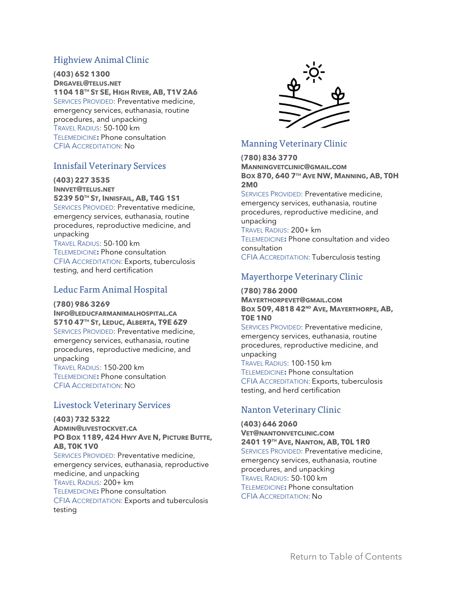## <span id="page-34-0"></span>Highview Animal Clinic

**(403) 652 1300 DRGAVEL@TELUS.NET 1104 18TH ST SE, HIGH RIVER, AB, T1V 2A6** SERVICES PROVIDED: Preventative medicine, emergency services, euthanasia, routine procedures, and unpacking TRAVEL RADIUS: 50-100 km TELEMEDICINE**:** Phone consultation CFIA ACCREDITATION: No

## <span id="page-34-1"></span>Innisfail Veterinary Services

**(403) 227 3535 INNVET@TELUS.NET 5239 50TH ST, INNISFAIL, AB, T4G 1S1** SERVICES PROVIDED: Preventative medicine, emergency services, euthanasia, routine procedures, reproductive medicine, and

unpacking TRAVEL RADIUS: 50-100 km TELEMEDICINE**:** Phone consultation CFIA ACCREDITATION: Exports, tuberculosis testing, and herd certification

## <span id="page-34-2"></span>Leduc Farm Animal Hospital

**(780) 986 3269 INFO@LEDUCFARMANIMALHOSPITAL.CA 5710 47TH ST, LEDUC, ALBERTA, T9E 6Z9** SERVICES PROVIDED: Preventative medicine, emergency services, euthanasia, routine procedures, reproductive medicine, and unpacking

TRAVEL RADIUS: 150-200 km TELEMEDICINE**:** Phone consultation CFIA ACCREDITATION: NO

#### <span id="page-34-3"></span>Livestock Veterinary Services

**(403) 732 5322 ADMIN@LIVESTOCKVET.CA PO BOX 1189, 424 HWY AVE N, PICTURE BUTTE, AB, T0K 1V0** SERVICES PROVIDED: Preventative medicine, emergency services, euthanasia, reproductive medicine, and unpacking TRAVEL RADIUS: 200+ km TELEMEDICINE**:** Phone consultation CFIA ACCREDITATION: Exports and tuberculosis testing



## <span id="page-34-4"></span>Manning Veterinary Clinic

**(780) 836 3770 MANNINGVETCLINIC@GMAIL.COM BOX 870, 640 7 TH AVE NW, MANNING, AB, T0H 2M0** SERVICES PROVIDED: Preventative medicine,

emergency services, euthanasia, routine procedures, reproductive medicine, and unpacking TRAVEL RADIUS: 200+ km TELEMEDICINE**:** Phone consultation and video consultation

CFIA ACCREDITATION: Tuberculosis testing

## <span id="page-34-5"></span>Mayerthorpe Veterinary Clinic

**(780) 786 2000 MAYERTHORPEVET@GMAIL.COM BOX 509, 4818 42ND AVE, MAYERTHORPE, AB, T0E 1N0**

SERVICES PROVIDED: Preventative medicine, emergency services, euthanasia, routine procedures, reproductive medicine, and unpacking

TRAVEL RADIUS: 100-150 km TELEMEDICINE**:** Phone consultation CFIA ACCREDITATION: Exports, tuberculosis testing, and herd certification

## <span id="page-34-6"></span>Nanton Veterinary Clinic

**(403) 646 2060 VET@NANTONVETCLINIC.COM 2401 19TH AVE, NANTON, AB, T0L 1R0** SERVICES PROVIDED: Preventative medicine, emergency services, euthanasia, routine procedures, and unpacking TRAVEL RADIUS: 50-100 km TELEMEDICINE**:** Phone consultation CFIA ACCREDITATION: No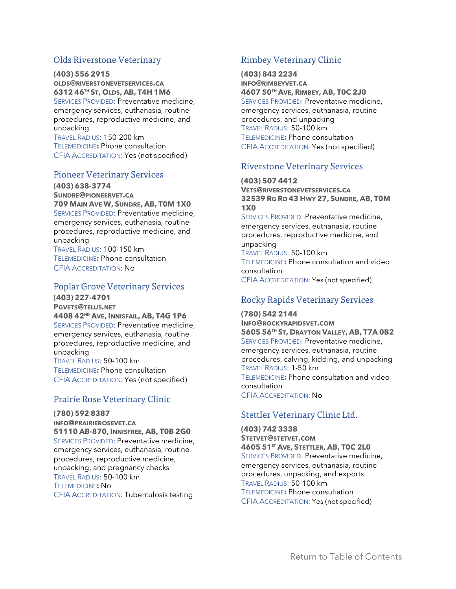## <span id="page-35-0"></span>Olds Riverstone Veterinary

**(403) 556 2915 OLDS@RIVERSTONEVETSERVICES.CA 6312 46TH ST, OLDS, AB, T4H 1M6**

SERVICES PROVIDED: Preventative medicine, emergency services, euthanasia, routine procedures, reproductive medicine, and unpacking TRAVEL RADIUS: 150-200 km TELEMEDICINE**:** Phone consultation

CFIA ACCREDITATION: Yes (not specified)

#### Pioneer Veterinary Services

**(403) 638-3774 SUNDRE@PIONEERVET.CA 709 MAIN AVE W, SUNDRE, AB, T0M 1X0** SERVICES PROVIDED: Preventative medicine, emergency services, euthanasia, routine procedures, reproductive medicine, and unpacking TRAVEL RADIUS: 100-150 km TELEMEDICINE**:** Phone consultation CFIA ACCREDITATION: No

#### Poplar Grove Veterinary Services **(403) 227-4701 PGVETS@TELUS.NET**

**4408 42ND AVE, INNISFAIL, AB, T4G 1P6** SERVICES PROVIDED: Preventative medicine, emergency services, euthanasia, routine procedures, reproductive medicine, and unpacking TRAVEL RADIUS: 50-100 km TELEMEDICINE**:** Phone consultation CFIA ACCREDITATION: Yes (not specified)

#### <span id="page-35-1"></span>Prairie Rose Veterinary Clinic

#### **(780) 592 8387**

**INFO@PRAIRIEROSEVET.CA 51110 AB-870, INNISFREE, AB, T0B 2G0** SERVICES PROVIDED: Preventative medicine, emergency services, euthanasia, routine procedures, reproductive medicine, unpacking, and pregnancy checks TRAVEL RADIUS: 50-100 km TELEMEDICINE**:** No CFIA ACCREDITATION: Tuberculosis testing

## <span id="page-35-2"></span>Rimbey Veterinary Clinic

**(403) 843 2234 INFO@RIMBEYVET.CA 4607 50TH AVE, RIMBEY, AB, T0C 2J0** SERVICES PROVIDED: Preventative medicine, emergency services, euthanasia, routine procedures, and unpacking TRAVEL RADIUS: 50-100 km TELEMEDICINE**:** Phone consultation CFIA ACCREDITATION: Yes (not specified)

#### <span id="page-35-3"></span>Riverstone Veterinary Services

#### **(403) 507 4412 VETS@RIVERSTONEVETSERVICES.CA 32539 RG RD 43 HWY 27, SUNDRE, AB, T0M 1X0**

SERVICES PROVIDED: Preventative medicine, emergency services, euthanasia, routine procedures, reproductive medicine, and unpacking

TRAVEL RADIUS: 50-100 km TELEMEDICINE**:** Phone consultation and video consultation

<span id="page-35-4"></span>CFIA ACCREDITATION: Yes (not specified)

#### Rocky Rapids Veterinary Services

**(780) 542 2144 INFO@ROCKYRAPIDSVET.COM 5605 56TH ST, DRAYTON VALLEY, AB, T7A 0B2** SERVICES PROVIDED: Preventative medicine, emergency services, euthanasia, routine procedures, calving, kidding, and unpacking TRAVEL RADIUS: 1-50 km TELEMEDICINE**:** Phone consultation and video consultation CFIA ACCREDITATION: No

#### <span id="page-35-5"></span>Stettler Veterinary Clinic Ltd.

**(403) 742 3338 STETVET@STETVET.COM 4605 51ST AVE, STETTLER, AB, T0C 2L0** SERVICES PROVIDED: Preventative medicine, emergency services, euthanasia, routine procedures, unpacking, and exports TRAVEL RADIUS: 50-100 km TELEMEDICINE**:** Phone consultation CFIA ACCREDITATION: Yes (not specified)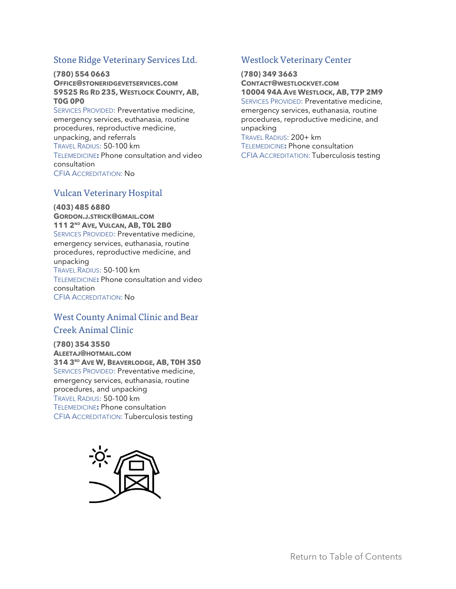## <span id="page-36-0"></span>Stone Ridge Veterinary Services Ltd.

**(780) 554 0663 OFFICE@STONERIDGEVETSERVICES.COM 59525 RG RD 235, WESTLOCK COUNTY, AB, T0G 0P0**

SERVICES PROVIDED: Preventative medicine, emergency services, euthanasia, routine procedures, reproductive medicine, unpacking, and referrals TRAVEL RADIUS: 50-100 km TELEMEDICINE**:** Phone consultation and video consultation CFIA ACCREDITATION: No

## <span id="page-36-1"></span>Vulcan Veterinary Hospital

**(403) 485 6880 GORDON.J.STRICK@GMAIL.COM 111 2 ND AVE, VULCAN, AB, T0L 2B0** SERVICES PROVIDED: Preventative medicine, emergency services, euthanasia, routine procedures, reproductive medicine, and unpacking TRAVEL RADIUS: 50-100 km TELEMEDICINE**:** Phone consultation and video consultation CFIA ACCREDITATION: No

## <span id="page-36-2"></span>West County Animal Clinic and Bear Creek Animal Clinic

**(780) 354 3550 ALEETAJ@HOTMAIL.COM 314 3 RD AVE W, BEAVERLODGE, AB, T0H 3S0** SERVICES PROVIDED: Preventative medicine, emergency services, euthanasia, routine procedures, and unpacking TRAVEL RADIUS: 50-100 km TELEMEDICINE**:** Phone consultation CFIA ACCREDITATION: Tuberculosis testing



## <span id="page-36-3"></span>Westlock Veterinary Center

**(780) 349 3663 CONTACT@WESTLOCKVET.COM 10004 94A AVE WESTLOCK, AB, T7P 2M9** SERVICES PROVIDED: Preventative medicine, emergency services, euthanasia, routine procedures, reproductive medicine, and unpacking TRAVEL RADIUS: 200+ km TELEMEDICINE**:** Phone consultation CFIA ACCREDITATION: Tuberculosis testing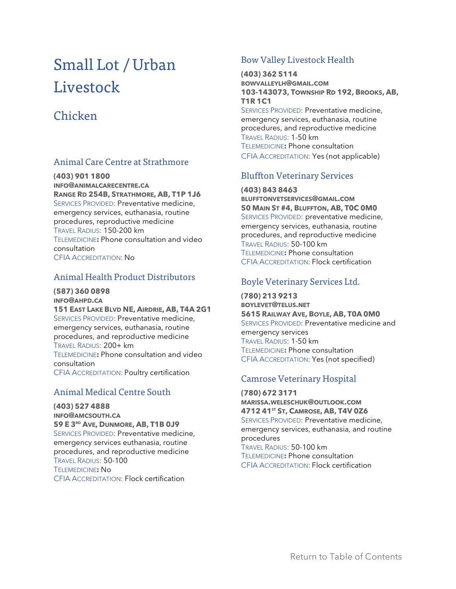# <span id="page-37-0"></span>Small Lot / Urban Livestock

# <span id="page-37-2"></span><span id="page-37-1"></span>Chicken

## Animal Care Centre at Strathmore

**(403) 901 1800 INFO@ANIMALCARECENTRE.CA RANGE RD 254B, STRATHMORE, AB, T1P 1J6** SERVICES PROVIDED: Preventative medicine, emergency services, euthanasia, routine procedures, reproductive medicine TRAVEL RADIUS: 150-200 km TELEMEDICINE**:** Phone consultation and video consultation CFIA ACCREDITATION: No

## <span id="page-37-3"></span>Animal Health Product Distributors

**(587) 360 0898 INFO@AHPD.CA 151 EAST LAKE BLVD NE, AIRDRIE, AB, T4A 2G1** SERVICES PROVIDED: Preventative medicine, emergency services, euthanasia, routine procedures, and reproductive medicine TRAVEL RADIUS: 200+ km TELEMEDICINE**:** Phone consultation and video consultation CFIA ACCREDITATION: Poultry certification

## <span id="page-37-4"></span>Animal Medical Centre South

**(403) 527 4888 INFO@AMCSOUTH.CA 59 E 3 RD AVE, DUNMORE, AB, T1B 0J9** SERVICES PROVIDED: Preventative medicine, emergency services euthanasia, routine procedures, and reproductive medicine TRAVEL RADIUS: 50-100 TELEMEDICINE**:** No CFIA ACCREDITATION: Flock certification

## <span id="page-37-5"></span>Bow Valley Livestock Health

**(403) 362 5114 BOWVALLEYLH@GMAIL.COM 103-143073, TOWNSHIP RD 192, BROOKS, AB, T1R 1C1** SERVICES PROVIDED: Preventative medicine,

emergency services, euthanasia, routine procedures, and reproductive medicine TRAVEL RADIUS: 1-50 km TELEMEDICINE**:** Phone consultation CFIA ACCREDITATION: Yes (not applicable)

## <span id="page-37-6"></span>Bluffton Veterinary Services

**(403) 843 8463 BLUFFTONVETSERVICES@GMAIL.COM 50 MAIN ST #4, BLUFFTON, AB, T0C 0M0** SERVICES PROVIDED: preventative medicine, emergency services, euthanasia, routine procedures, and reproductive medicine TRAVEL RADIUS: 50-100 km TELEMEDICINE**:** Phone consultation CFIA ACCREDITATION: Flock certification

## <span id="page-37-7"></span>Boyle Veterinary Services Ltd.

**(780) 213 9213 BOYLEVET@TELUS.NET 5615 RAILWAY AVE, BOYLE, AB, T0A 0M0** SERVICES PROVIDED: Preventative medicine and emergency services TRAVEL RADIUS: 1-50 km TELEMEDICINE**:** Phone consultation CFIA ACCREDITATION: Yes (not specified)

## <span id="page-37-8"></span>Camrose Veterinary Hospital

**(780) 672 3171 MARISSA.WELESCHUK@OUTLOOK.COM 4712 41ST ST, CAMROSE, AB, T4V 0Z6** SERVICES PROVIDED: Preventative medicine, emergency services, euthanasia, and routine procedures TRAVEL RADIUS: 50-100 km TELEMEDICINE**:** Phone consultation CFIA ACCREDITATION: Flock certification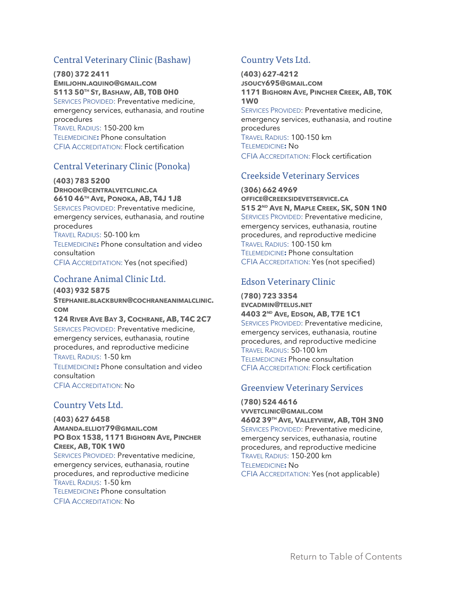## <span id="page-38-0"></span>Central Veterinary Clinic (Bashaw)

**(780) 372 2411 EMILJOHN.AQUINO@GMAIL.COM 5113 50TH ST, BASHAW, AB, T0B 0H0** SERVICES PROVIDED: Preventative medicine, emergency services, euthanasia, and routine procedures TRAVEL RADIUS: 150-200 km TELEMEDICINE**:** Phone consultation CFIA ACCREDITATION: Flock certification

## <span id="page-38-1"></span>Central Veterinary Clinic (Ponoka)

**(403) 783 5200**

**DRHOOK@CENTRALVETCLINIC.CA 6610 46TH AVE, PONOKA, AB, T4J 1J8** SERVICES PROVIDED: Preventative medicine, emergency services, euthanasia, and routine procedures TRAVEL RADIUS: 50-100 km TELEMEDICINE**:** Phone consultation and video consultation CFIA ACCREDITATION: Yes (not specified)

#### <span id="page-38-2"></span>Cochrane Animal Clinic Ltd.

**(403) 932 5875 STEPHANIE.BLACKBURN@COCHRANEANIMALCLINIC. COM 124 RIVER AVE BAY 3, COCHRANE, AB, T4C 2C7** SERVICES PROVIDED: Preventative medicine, emergency services, euthanasia, routine procedures, and reproductive medicine TRAVEL RADIUS: 1-50 km TELEMEDICINE**:** Phone consultation and video consultation CFIA ACCREDITATION: No

## <span id="page-38-3"></span>Country Vets Ltd.

**(403) 627 6458 AMANDA.ELLIOT79@GMAIL.COM PO BOX 1538, 1171 BIGHORN AVE, PINCHER CREEK, AB, T0K 1W0** SERVICES PROVIDED: Preventative medicine, emergency services, euthanasia, routine procedures, and reproductive medicine TRAVEL RADIUS: 1-50 km TELEMEDICINE**:** Phone consultation CFIA ACCREDITATION: No

## <span id="page-38-4"></span>Country Vets Ltd.

**(403) 627-4212 JSOUCY695@GMAIL.COM 1171 BIGHORN AVE, PINCHER CREEK, AB, T0K 1W0** SERVICES PROVIDED: Preventative medicine, emergency services, euthanasia, and routine procedures TRAVEL RADIUS: 100-150 km TELEMEDICINE**:** No CFIA ACCREDITATION: Flock certification

## <span id="page-38-5"></span>Creekside Veterinary Services

**(306) 662 4969 OFFICE@CREEKSIDEVETSERVICE.CA 515 2 ND AVE N, MAPLE CREEK, SK, S0N 1N0** SERVICES PROVIDED: Preventative medicine, emergency services, euthanasia, routine procedures, and reproductive medicine TRAVEL RADIUS: 100-150 km TELEMEDICINE**:** Phone consultation CFIA ACCREDITATION: Yes (not specified)

## <span id="page-38-6"></span>Edson Veterinary Clinic

**(780) 723 3354 EVCADMIN@TELUS.NET 4403 2 ND AVE, EDSON, AB, T7E 1C1** SERVICES PROVIDED: Preventative medicine, emergency services, euthanasia, routine procedures, and reproductive medicine TRAVEL RADIUS: 50-100 km TELEMEDICINE**:** Phone consultation CFIA ACCREDITATION: Flock certification

## <span id="page-38-7"></span>Greenview Veterinary Services

**(780) 524 4616 VVVETCLINIC@GMAIL.COM 4602 39TH AVE, VALLEYVIEW, AB, T0H 3N0** SERVICES PROVIDED: Preventative medicine, emergency services, euthanasia, routine procedures, and reproductive medicine TRAVEL RADIUS: 150-200 km TELEMEDICINE**:** No CFIA ACCREDITATION: Yes (not applicable)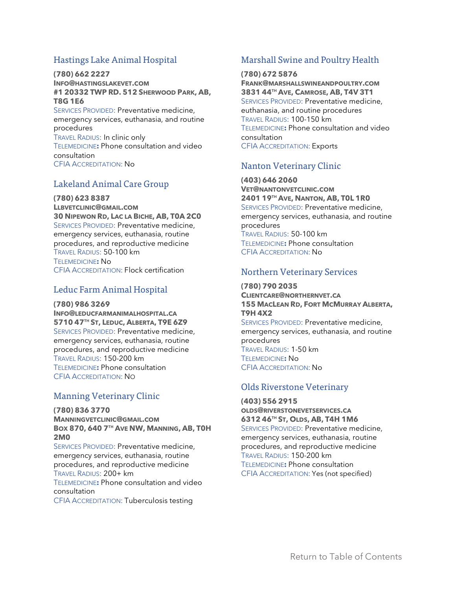## <span id="page-39-0"></span>Hastings Lake Animal Hospital

**(780) 662 2227 INFO@HASTINGSLAKEVET.COM #1 20332 TWP RD. 512 SHERWOOD PARK, AB, T8G 1E6** SERVICES PROVIDED: Preventative medicine, emergency services, euthanasia, and routine procedures TRAVEL RADIUS: In clinic only TELEMEDICINE**:** Phone consultation and video consultation CFIA ACCREDITATION: No

## <span id="page-39-1"></span>Lakeland Animal Care Group

**(780) 623 8387**

**LLBVETCLINIC@GMAIL.COM 30 NIPEWON RD, LAC LA BICHE, AB, T0A 2C0** SERVICES PROVIDED: Preventative medicine, emergency services, euthanasia, routine procedures, and reproductive medicine TRAVEL RADIUS: 50-100 km TELEMEDICINE**:** No CFIA ACCREDITATION: Flock certification

## <span id="page-39-2"></span>Leduc Farm Animal Hospital

**(780) 986 3269**

**INFO@LEDUCFARMANIMALHOSPITAL.CA 5710 47TH ST, LEDUC, ALBERTA, T9E 6Z9** SERVICES PROVIDED: Preventative medicine, emergency services, euthanasia, routine procedures, and reproductive medicine TRAVEL RADIUS: 150-200 km TELEMEDICINE**:** Phone consultation CFIA ACCREDITATION: NO

## <span id="page-39-3"></span>Manning Veterinary Clinic

**(780) 836 3770 MANNINGVETCLINIC@GMAIL.COM BOX 870, 640 7 TH AVE NW, MANNING, AB, T0H 2M0**

SERVICES PROVIDED: Preventative medicine, emergency services, euthanasia, routine procedures, and reproductive medicine TRAVEL RADIUS: 200+ km

TELEMEDICINE**:** Phone consultation and video consultation

CFIA ACCREDITATION: Tuberculosis testing

## <span id="page-39-4"></span>Marshall Swine and Poultry Health

#### **(780) 672 5876**

**FRANK@MARSHALLSWINEANDPOULTRY.COM 3831 44TH AVE, CAMROSE, AB, T4V 3T1** SERVICES PROVIDED: Preventative medicine, euthanasia, and routine procedures TRAVEL RADIUS: 100-150 km TELEMEDICINE**:** Phone consultation and video consultation CFIA ACCREDITATION: Exports

## <span id="page-39-5"></span>Nanton Veterinary Clinic

**(403) 646 2060 VET@NANTONVETCLINIC.COM 2401 19TH AVE, NANTON, AB, T0L 1R0** SERVICES PROVIDED: Preventative medicine, emergency services, euthanasia, and routine procedures TRAVEL RADIUS: 50-100 km TELEMEDICINE**:** Phone consultation CFIA ACCREDITATION: No

## <span id="page-39-6"></span>Northern Veterinary Services

#### **(780) 790 2035 CLIENTCARE@NORTHERNVET.CA**

**155 MACLEAN RD, FORT MCMURRAY ALBERTA, T9H 4X2**

SERVICES PROVIDED: Preventative medicine, emergency services, euthanasia, and routine procedures TRAVEL RADIUS: 1-50 km TELEMEDICINE**:** No CFIA ACCREDITATION: No

## <span id="page-39-7"></span>Olds Riverstone Veterinary

**(403) 556 2915 OLDS@RIVERSTONEVETSERVICES.CA 6312 46TH ST, OLDS, AB, T4H 1M6** SERVICES PROVIDED: Preventative medicine, emergency services, euthanasia, routine procedures, and reproductive medicine TRAVEL RADIUS: 150-200 km TELEMEDICINE**:** Phone consultation CFIA ACCREDITATION: Yes (not specified)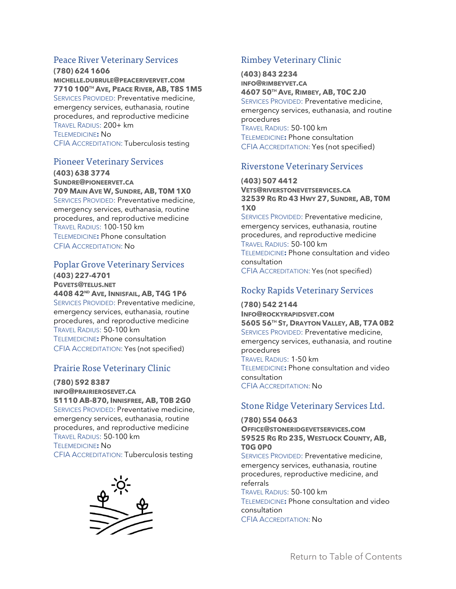## Peace River Veterinary Services

**(780) 624 1606 MICHELLE.DUBRULE@PEACERIVERVET.COM 7710 100TH AVE, PEACE RIVER, AB, T8S 1M5** SERVICES PROVIDED: Preventative medicine, emergency services, euthanasia, routine procedures, and reproductive medicine TRAVEL RADIUS: 200+ km TELEMEDICINE**:** No CFIA ACCREDITATION: Tuberculosis testing

## Pioneer Veterinary Services

**(403) 638 3774 SUNDRE@PIONEERVET.CA 709 MAIN AVE W, SUNDRE, AB, T0M 1X0** SERVICES PROVIDED: Preventative medicine, emergency services, euthanasia, routine procedures, and reproductive medicine TRAVEL RADIUS: 100-150 km TELEMEDICINE**:** Phone consultation CFIA ACCREDITATION: No

## Poplar Grove Veterinary Services

**(403) 227-4701 PGVETS@TELUS.NET 4408 42ND AVE, INNISFAIL, AB, T4G 1P6** SERVICES PROVIDED: Preventative medicine, emergency services, euthanasia, routine procedures, and reproductive medicine TRAVEL RADIUS: 50-100 km TELEMEDICINE**:** Phone consultation CFIA ACCREDITATION: Yes (not specified)

## <span id="page-40-0"></span>Prairie Rose Veterinary Clinic

**(780) 592 8387 INFO@PRAIRIEROSEVET.CA 51110 AB-870, INNISFREE, AB, T0B 2G0** SERVICES PROVIDED: Preventative medicine, emergency services, euthanasia, routine procedures, and reproductive medicine TRAVEL RADIUS: 50-100 km TELEMEDICINE**:** No CFIA ACCREDITATION: Tuberculosis testing



## <span id="page-40-1"></span>Rimbey Veterinary Clinic

**(403) 843 2234 INFO@RIMBEYVET.CA 4607 50TH AVE, RIMBEY, AB, T0C 2J0** SERVICES PROVIDED: Preventative medicine, emergency services, euthanasia, and routine procedures TRAVEL RADIUS: 50-100 km TELEMEDICINE**:** Phone consultation CFIA ACCREDITATION: Yes (not specified)

## <span id="page-40-2"></span>Riverstone Veterinary Services

**(403) 507 4412 VETS@RIVERSTONEVETSERVICES.CA 32539 RG RD 43 HWY 27, SUNDRE, AB, T0M 1X0**

SERVICES PROVIDED: Preventative medicine, emergency services, euthanasia, routine procedures, and reproductive medicine TRAVEL RADIUS: 50-100 km TELEMEDICINE**:** Phone consultation and video consultation CFIA ACCREDITATION: Yes (not specified)

## <span id="page-40-3"></span>Rocky Rapids Veterinary Services

**(780) 542 2144 INFO@ROCKYRAPIDSVET.COM 5605 56TH ST, DRAYTON VALLEY, AB, T7A 0B2** SERVICES PROVIDED: Preventative medicine, emergency services, euthanasia, and routine procedures TRAVEL RADIUS: 1-50 km TELEMEDICINE**:** Phone consultation and video consultation CFIA ACCREDITATION: No

## <span id="page-40-4"></span>Stone Ridge Veterinary Services Ltd.

**(780) 554 0663 OFFICE@STONERIDGEVETSERVICES.COM 59525 RG RD 235, WESTLOCK COUNTY, AB, T0G 0P0**

SERVICES PROVIDED: Preventative medicine, emergency services, euthanasia, routine procedures, reproductive medicine, and referrals TRAVEL RADIUS: 50-100 km TELEMEDICINE**:** Phone consultation and video consultation

CFIA ACCREDITATION: No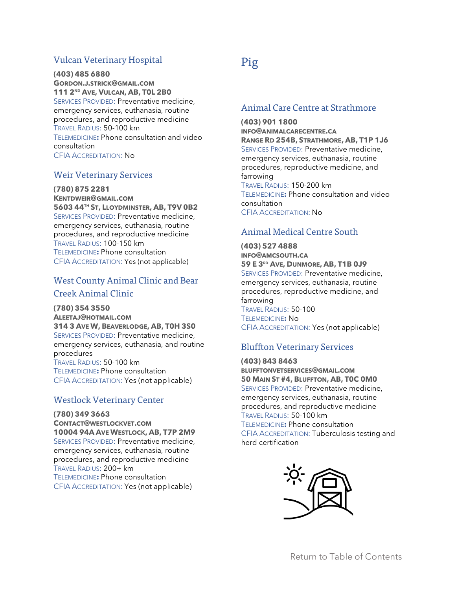## <span id="page-41-0"></span>Vulcan Veterinary Hospital

**(403) 485 6880**

**GORDON.J.STRICK@GMAIL.COM 111 2 ND AVE, VULCAN, AB, T0L 2B0** SERVICES PROVIDED: Preventative medicine, emergency services, euthanasia, routine procedures, and reproductive medicine TRAVEL RADIUS: 50-100 km TELEMEDICINE**:** Phone consultation and video consultation CFIA ACCREDITATION: No

## <span id="page-41-1"></span>Weir Veterinary Services

**(780) 875 2281 KENTDWEIR@GMAIL.COM 5603 44TH ST, LLOYDMINSTER, AB, T9V 0B2** SERVICES PROVIDED: Preventative medicine, emergency services, euthanasia, routine procedures, and reproductive medicine TRAVEL RADIUS: 100-150 km TELEMEDICINE**:** Phone consultation CFIA ACCREDITATION: Yes (not applicable)

## <span id="page-41-2"></span>West County Animal Clinic and Bear Creek Animal Clinic

**(780) 354 3550 ALEETAJ@HOTMAIL.COM 314 3 AVE W, BEAVERLODGE, AB, T0H 3S0** SERVICES PROVIDED: Preventative medicine, emergency services, euthanasia, and routine procedures TRAVEL RADIUS: 50-100 km TELEMEDICINE**:** Phone consultation CFIA ACCREDITATION: Yes (not applicable)

## <span id="page-41-3"></span>Westlock Veterinary Center

**(780) 349 3663 CONTACT@WESTLOCKVET.COM 10004 94A AVE WESTLOCK, AB, T7P 2M9** SERVICES PROVIDED: Preventative medicine, emergency services, euthanasia, routine procedures, and reproductive medicine TRAVEL RADIUS: 200+ km TELEMEDICINE**:** Phone consultation CFIA ACCREDITATION: Yes (not applicable)

# <span id="page-41-5"></span><span id="page-41-4"></span>Pig

## Animal Care Centre at Strathmore

**(403) 901 1800**

**INFO@ANIMALCARECENTRE.CA RANGE RD 254B, STRATHMORE, AB, T1P 1J6** SERVICES PROVIDED: Preventative medicine, emergency services, euthanasia, routine procedures, reproductive medicine, and farrowing TRAVEL RADIUS: 150-200 km TELEMEDICINE**:** Phone consultation and video consultation CFIA ACCREDITATION: No

## <span id="page-41-6"></span>Animal Medical Centre South

**(403) 527 4888 INFO@AMCSOUTH.CA 59 E 3 RD AVE, DUNMORE, AB, T1B 0J9** SERVICES PROVIDED: Preventative medicine, emergency services, euthanasia, routine procedures, reproductive medicine, and farrowing TRAVEL RADIUS: 50-100 TELEMEDICINE**:** No CFIA ACCREDITATION: Yes (not applicable)

## <span id="page-41-7"></span>Bluffton Veterinary Services

**(403) 843 8463 BLUFFTONVETSERVICES@GMAIL.COM 50 MAIN ST #4, BLUFFTON, AB, T0C 0M0** SERVICES PROVIDED: Preventative medicine, emergency services, euthanasia, routine procedures, and reproductive medicine TRAVEL RADIUS: 50-100 km TELEMEDICINE**:** Phone consultation CFIA ACCREDITATION: Tuberculosis testing and herd certification

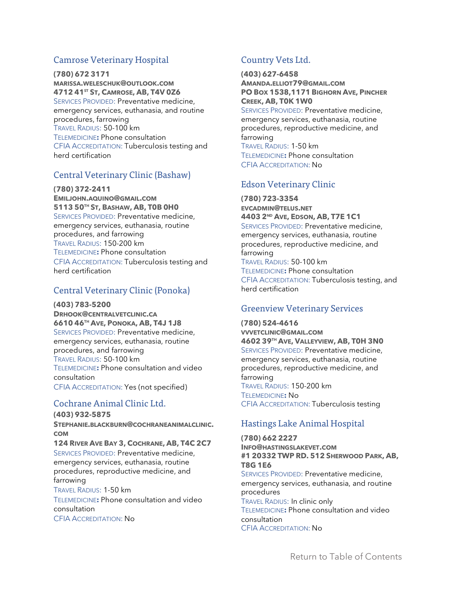## <span id="page-42-0"></span>Camrose Veterinary Hospital

**(780) 672 3171 MARISSA.WELESCHUK@OUTLOOK.COM 4712 41ST ST, CAMROSE, AB, T4V 0Z6** SERVICES PROVIDED: Preventative medicine, emergency services, euthanasia, and routine procedures, farrowing TRAVEL RADIUS: 50-100 km TELEMEDICINE**:** Phone consultation CFIA ACCREDITATION: Tuberculosis testing and herd certification

## <span id="page-42-1"></span>Central Veterinary Clinic (Bashaw)

**(780) 372-2411 EMILJOHN.AQUINO@GMAIL.COM 5113 50TH ST, BASHAW, AB, T0B 0H0** SERVICES PROVIDED: Preventative medicine, emergency services, euthanasia, routine procedures, and farrowing TRAVEL RADIUS: 150-200 km TELEMEDICINE**:** Phone consultation CFIA ACCREDITATION: Tuberculosis testing and herd certification

## <span id="page-42-2"></span>Central Veterinary Clinic (Ponoka)

**(403) 783-5200 DRHOOK@CENTRALVETCLINIC.CA 6610 46TH AVE, PONOKA, AB, T4J 1J8** SERVICES PROVIDED: Preventative medicine, emergency services, euthanasia, routine procedures, and farrowing TRAVEL RADIUS: 50-100 km TELEMEDICINE**:** Phone consultation and video consultation CFIA ACCREDITATION: Yes (not specified)

## <span id="page-42-3"></span>Cochrane Animal Clinic Ltd.

**(403) 932-5875 STEPHANIE.BLACKBURN@COCHRANEANIMALCLINIC. COM 124 RIVER AVE BAY 3, COCHRANE, AB, T4C 2C7** SERVICES PROVIDED: Preventative medicine, emergency services, euthanasia, routine procedures, reproductive medicine, and farrowing TRAVEL RADIUS: 1-50 km TELEMEDICINE**:** Phone consultation and video consultation CFIA ACCREDITATION: No

# <span id="page-42-4"></span>Country Vets Ltd.

**(403) 627-6458 AMANDA.ELLIOT79@GMAIL.COM PO BOX 1538,1171 BIGHORN AVE, PINCHER CREEK, AB, T0K 1W0** SERVICES PROVIDED: Preventative medicine, emergency services, euthanasia, routine procedures, reproductive medicine, and farrowing TRAVEL RADIUS: 1-50 km TELEMEDICINE**:** Phone consultation CFIA ACCREDITATION: No

## <span id="page-42-5"></span>Edson Veterinary Clinic

**(780) 723-3354 EVCADMIN@TELUS.NET 4403 2 ND AVE, EDSON, AB, T7E 1C1** SERVICES PROVIDED: Preventative medicine, emergency services, euthanasia, routine procedures, reproductive medicine, and farrowing TRAVEL RADIUS: 50-100 km TELEMEDICINE**:** Phone consultation CFIA ACCREDITATION: Tuberculosis testing, and herd certification

## <span id="page-42-6"></span>Greenview Veterinary Services

**(780) 524-4616 VVVETCLINIC@GMAIL.COM 4602 39TH AVE, VALLEYVIEW, AB, T0H 3N0** SERVICES PROVIDED: Preventative medicine, emergency services, euthanasia, routine procedures, reproductive medicine, and farrowing TRAVEL RADIUS: 150-200 km TELEMEDICINE**:** No CFIA ACCREDITATION: Tuberculosis testing

## <span id="page-42-7"></span>Hastings Lake Animal Hospital

**(780) 662 2227 INFO@HASTINGSLAKEVET.COM #1 20332 TWP RD. 512 SHERWOOD PARK, AB, T8G 1E6** SERVICES PROVIDED: Preventative medicine, emergency services, euthanasia, and routine procedures TRAVEL RADIUS: In clinic only TELEMEDICINE**:** Phone consultation and video consultation CFIA ACCREDITATION: No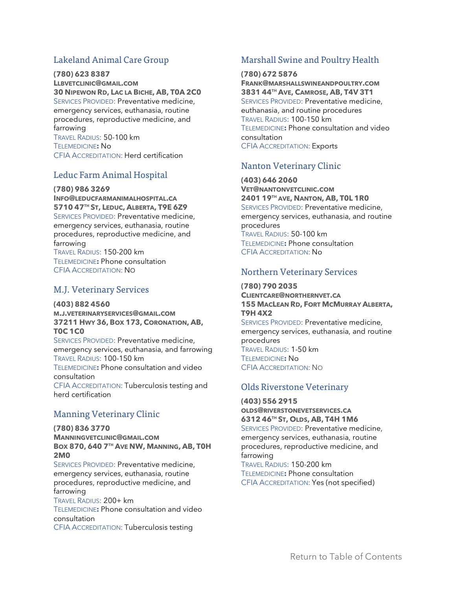## <span id="page-43-0"></span>Lakeland Animal Care Group

**(780) 623 8387**

**LLBVETCLINIC@GMAIL.COM 30 NIPEWON RD, LAC LA BICHE, AB, T0A 2C0** SERVICES PROVIDED: Preventative medicine, emergency services, euthanasia, routine procedures, reproductive medicine, and farrowing TRAVEL RADIUS: 50-100 km TELEMEDICINE**:** No

CFIA ACCREDITATION: Herd certification

## <span id="page-43-1"></span>Leduc Farm Animal Hospital

#### **(780) 986 3269**

**INFO@LEDUCFARMANIMALHOSPITAL.CA 5710 47TH ST, LEDUC, ALBERTA, T9E 6Z9** SERVICES PROVIDED: Preventative medicine, emergency services, euthanasia, routine procedures, reproductive medicine, and farrowing

TRAVEL RADIUS: 150-200 km TELEMEDICINE**:** Phone consultation CFIA ACCREDITATION: NO

## <span id="page-43-2"></span>M.J. Veterinary Services

#### **(403) 882 4560**

**M.J.VETERINARYSERVICES@GMAIL.COM 37211 HWY 36, BOX 173, CORONATION, AB, T0C 1C0**

SERVICES PROVIDED: Preventative medicine, emergency services, euthanasia, and farrowing TRAVEL RADIUS: 100-150 km

TELEMEDICINE**:** Phone consultation and video consultation

CFIA ACCREDITATION: Tuberculosis testing and herd certification

## <span id="page-43-3"></span>Manning Veterinary Clinic

#### **(780) 836 3770**

**MANNINGVETCLINIC@GMAIL.COM BOX 870, 640 7 TH AVE NW, MANNING, AB, T0H 2M0**

SERVICES PROVIDED: Preventative medicine, emergency services, euthanasia, routine procedures, reproductive medicine, and farrowing

TRAVEL RADIUS: 200+ km TELEMEDICINE**:** Phone consultation and video consultation CFIA ACCREDITATION: Tuberculosis testing

## <span id="page-43-4"></span>Marshall Swine and Poultry Health

#### **(780) 672 5876**

**FRANK@MARSHALLSWINEANDPOULTRY.COM 3831 44TH AVE, CAMROSE, AB, T4V 3T1** SERVICES PROVIDED: Preventative medicine, euthanasia, and routine procedures TRAVEL RADIUS: 100-150 km TELEMEDICINE**:** Phone consultation and video consultation CFIA ACCREDITATION: Exports

## <span id="page-43-5"></span>Nanton Veterinary Clinic

**(403) 646 2060 VET@NANTONVETCLINIC.COM 2401 19TH AVE, NANTON, AB, T0L 1R0** SERVICES PROVIDED: Preventative medicine, emergency services, euthanasia, and routine procedures TRAVEL RADIUS: 50-100 km TELEMEDICINE**:** Phone consultation CFIA ACCREDITATION: No

## <span id="page-43-6"></span>Northern Veterinary Services

#### **(780) 790 2035**

#### **CLIENTCARE@NORTHERNVET.CA 155 MACLEAN RD, FORT MCMURRAY ALBERTA, T9H 4X2**

SERVICES PROVIDED: Preventative medicine, emergency services, euthanasia, and routine procedures TRAVEL RADIUS: 1-50 km TELEMEDICINE**:** No CFIA ACCREDITATION: NO

## <span id="page-43-7"></span>Olds Riverstone Veterinary

**(403) 556 2915 OLDS@RIVERSTONEVETSERVICES.CA 6312 46TH ST, OLDS, AB, T4H 1M6** SERVICES PROVIDED: Preventative medicine, emergency services, euthanasia, routine procedures, reproductive medicine, and farrowing TRAVEL RADIUS: 150-200 km

TELEMEDICINE**:** Phone consultation CFIA ACCREDITATION: Yes (not specified)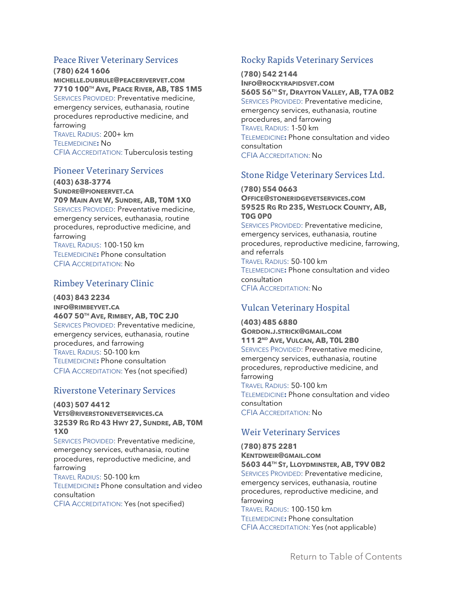## Peace River Veterinary Services

**(780) 624 1606**

**MICHELLE.DUBRULE@PEACERIVERVET.COM 7710 100TH AVE, PEACE RIVER, AB, T8S 1M5** SERVICES PROVIDED: Preventative medicine, emergency services, euthanasia, routine procedures reproductive medicine, and farrowing TRAVEL RADIUS: 200+ km TELEMEDICINE**:** No

CFIA ACCREDITATION: Tuberculosis testing

#### Pioneer Veterinary Services

**(403) 638-3774 SUNDRE@PIONEERVET.CA**

**709 MAIN AVE W, SUNDRE, AB, T0M 1X0** SERVICES PROVIDED: Preventative medicine, emergency services, euthanasia, routine procedures, reproductive medicine, and farrowing TRAVEL RADIUS: 100-150 km TELEMEDICINE**:** Phone consultation CFIA ACCREDITATION: No

## <span id="page-44-0"></span>Rimbey Veterinary Clinic

**(403) 843 2234**

**INFO@RIMBEYVET.CA 4607 50TH AVE, RIMBEY, AB, T0C 2J0** SERVICES PROVIDED: Preventative medicine, emergency services, euthanasia, routine procedures, and farrowing TRAVEL RADIUS: 50-100 km TELEMEDICINE**:** Phone consultation CFIA ACCREDITATION: Yes (not specified)

## <span id="page-44-1"></span>Riverstone Veterinary Services

**(403) 507 4412 VETS@RIVERSTONEVETSERVICES.CA 32539 RG RD 43 HWY 27, SUNDRE, AB, T0M 1X0** SERVICES PROVIDED: Preventative medicine,

emergency services, euthanasia, routine procedures, reproductive medicine, and farrowing

TRAVEL RADIUS: 50-100 km TELEMEDICINE**:** Phone consultation and video consultation CFIA ACCREDITATION: Yes (not specified)

## <span id="page-44-2"></span>Rocky Rapids Veterinary Services

**(780) 542 2144**

**INFO@ROCKYRAPIDSVET.COM 5605 56TH ST, DRAYTON VALLEY, AB, T7A 0B2** SERVICES PROVIDED: Preventative medicine, emergency services, euthanasia, routine procedures, and farrowing TRAVEL RADIUS: 1-50 km TELEMEDICINE**:** Phone consultation and video consultation CFIA ACCREDITATION: No

## <span id="page-44-3"></span>Stone Ridge Veterinary Services Ltd.

#### **(780) 554 0663 OFFICE@STONERIDGEVETSERVICES.COM**

**59525 RG RD 235, WESTLOCK COUNTY, AB, T0G 0P0**

SERVICES PROVIDED: Preventative medicine, emergency services, euthanasia, routine procedures, reproductive medicine, farrowing, and referrals TRAVEL RADIUS: 50-100 km TELEMEDICINE**:** Phone consultation and video consultation

<span id="page-44-4"></span>CFIA ACCREDITATION: No

## Vulcan Veterinary Hospital

**(403) 485 6880 GORDON.J.STRICK@GMAIL.COM 111 2 ND AVE, VULCAN, AB, T0L 2B0** SERVICES PROVIDED: Preventative medicine, emergency services, euthanasia, routine procedures, reproductive medicine, and farrowing TRAVEL RADIUS: 50-100 km TELEMEDICINE**:** Phone consultation and video consultation CFIA ACCREDITATION: No

## <span id="page-44-5"></span>Weir Veterinary Services

**(780) 875 2281 KENTDWEIR@GMAIL.COM 5603 44TH ST, LLOYDMINSTER, AB, T9V 0B2** SERVICES PROVIDED: Preventative medicine, emergency services, euthanasia, routine procedures, reproductive medicine, and farrowing TRAVEL RADIUS: 100-150 km TELEMEDICINE**:** Phone consultation CFIA ACCREDITATION: Yes (not applicable)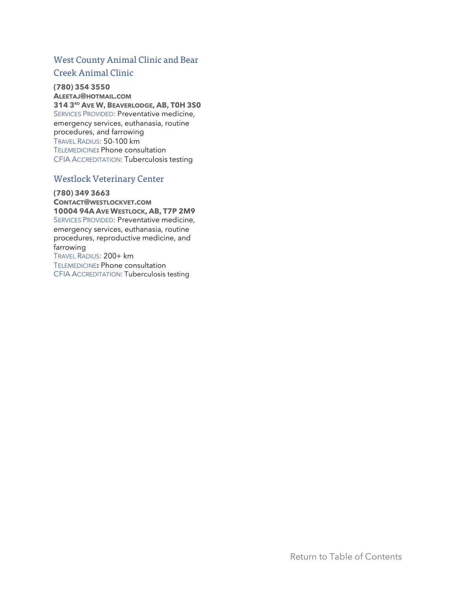# <span id="page-45-0"></span>West County Animal Clinic and Bear Creek Animal Clinic

#### **(780) 354 3550 ALEETAJ@HOTMAIL.COM 314 3 RD AVE W, BEAVERLODGE, AB, T0H 3S0** SERVICES PROVIDED: Preventative medicine, emergency services, euthanasia, routine procedures, and farrowing TRAVEL RADIUS: 50-100 km TELEMEDICINE**:** Phone consultation CFIA ACCREDITATION: Tuberculosis testing

## <span id="page-45-1"></span>Westlock Veterinary Center

### **(780) 349 3663**

**CONTACT@WESTLOCKVET.COM 10004 94A AVE WESTLOCK, AB, T7P 2M9** SERVICES PROVIDED: Preventative medicine, emergency services, euthanasia, routine procedures, reproductive medicine, and farrowing TRAVEL RADIUS: 200+ km TELEMEDICINE**:** Phone consultation CFIA ACCREDITATION: Tuberculosis testing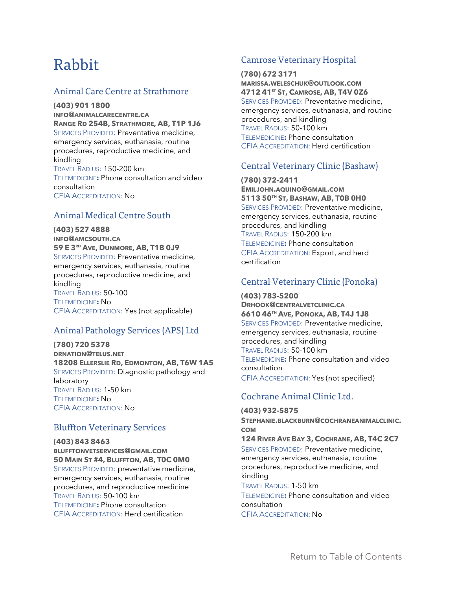# <span id="page-46-0"></span>Rabbit

## <span id="page-46-1"></span>Animal Care Centre at Strathmore

**(403) 901 1800 INFO@ANIMALCARECENTRE.CA RANGE RD 254B, STRATHMORE, AB, T1P 1J6** SERVICES PROVIDED: Preventative medicine, emergency services, euthanasia, routine procedures, reproductive medicine, and kindling TRAVEL RADIUS: 150-200 km TELEMEDICINE**:** Phone consultation and video

<span id="page-46-2"></span>CFIA ACCREDITATION: No

## Animal Medical Centre South

#### **(403) 527 4888**

consultation

**INFO@AMCSOUTH.CA 59 E 3 RD AVE, DUNMORE, AB, T1B 0J9** SERVICES PROVIDED: Preventative medicine, emergency services, euthanasia, routine procedures, reproductive medicine, and kindling TRAVEL RADIUS: 50-100 TELEMEDICINE**:** No CFIA ACCREDITATION: Yes (not applicable)

## <span id="page-46-3"></span>Animal Pathology Services (APS) Ltd

**(780) 720 5378**

**DRNATION@TELUS.NET 18208 ELLERSLIE RD, EDMONTON, AB, T6W 1A5** SERVICES PROVIDED: Diagnostic pathology and laboratory TRAVEL RADIUS: 1-50 km TELEMEDICINE**:** No CFIA ACCREDITATION: No

## <span id="page-46-4"></span>Bluffton Veterinary Services

**(403) 843 8463 BLUFFTONVETSERVICES@GMAIL.COM 50 MAIN ST #4, BLUFFTON, AB, T0C 0M0** SERVICES PROVIDED: preventative medicine, emergency services, euthanasia, routine procedures, and reproductive medicine TRAVEL RADIUS: 50-100 km TELEMEDICINE**:** Phone consultation CFIA ACCREDITATION: Herd certification

## <span id="page-46-5"></span>Camrose Veterinary Hospital

**(780) 672 3171**

**MARISSA.WELESCHUK@OUTLOOK.COM 4712 41ST ST, CAMROSE, AB, T4V 0Z6** SERVICES PROVIDED: Preventative medicine, emergency services, euthanasia, and routine procedures, and kindling TRAVEL RADIUS: 50-100 km TELEMEDICINE**:** Phone consultation CFIA ACCREDITATION: Herd certification

## <span id="page-46-6"></span>Central Veterinary Clinic (Bashaw)

**(780) 372-2411 EMILJOHN.AQUINO@GMAIL.COM 5113 50TH ST, BASHAW, AB, T0B 0H0** SERVICES PROVIDED: Preventative medicine, emergency services, euthanasia, routine procedures, and kindling TRAVEL RADIUS: 150-200 km TELEMEDICINE**:** Phone consultation CFIA ACCREDITATION: Export, and herd certification

## <span id="page-46-7"></span>Central Veterinary Clinic (Ponoka)

**(403) 783-5200 DRHOOK@CENTRALVETCLINIC.CA 6610 46TH AVE, PONOKA, AB, T4J 1J8** SERVICES PROVIDED: Preventative medicine, emergency services, euthanasia, routine procedures, and kindling TRAVEL RADIUS: 50-100 km TELEMEDICINE**:** Phone consultation and video consultation CFIA ACCREDITATION: Yes (not specified)

## <span id="page-46-8"></span>Cochrane Animal Clinic Ltd.

**(403) 932-5875 STEPHANIE.BLACKBURN@COCHRANEANIMALCLINIC. COM 124 RIVER AVE BAY 3, COCHRANE, AB, T4C 2C7** SERVICES PROVIDED: Preventative medicine, emergency services, euthanasia, routine

procedures, reproductive medicine, and kindling TRAVEL RADIUS: 1-50 km

TELEMEDICINE**:** Phone consultation and video consultation

CFIA ACCREDITATION: No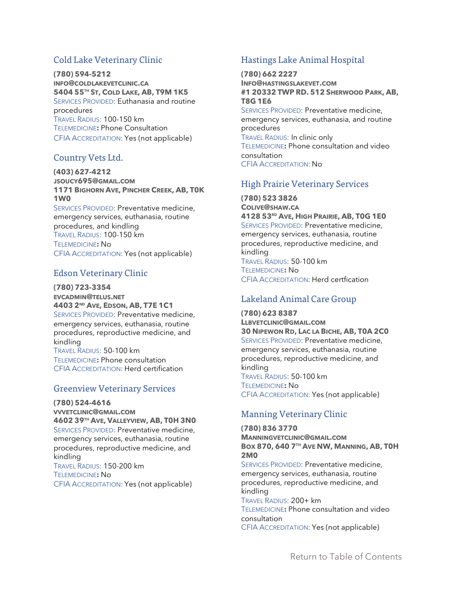## <span id="page-47-0"></span>Cold Lake Veterinary Clinic

**(780) 594-5212 INFO@COLDLAKEVETCLINIC.CA 5404 55TH ST, COLD LAKE, AB, T9M 1K5** SERVICES PROVIDED: Euthanasia and routine procedures TRAVEL RADIUS: 100-150 km TELEMEDICINE**:** Phone Consultation CFIA ACCREDITATION: Yes (not applicable)

## <span id="page-47-1"></span>Country Vets Ltd.

**(403) 627-4212 JSOUCY695@GMAIL.COM 1171 BIGHORN AVE, PINCHER CREEK, AB, T0K 1W0** SERVICES PROVIDED: Preventative medicine, emergency services, euthanasia, routine procedures, and kindling TRAVEL RADIUS: 100-150 km TELEMEDICINE**:** No

CFIA ACCREDITATION: Yes (not applicable)

## <span id="page-47-2"></span>Edson Veterinary Clinic

**(780) 723-3354 EVCADMIN@TELUS.NET 4403 2 ND AVE, EDSON, AB, T7E 1C1** SERVICES PROVIDED: Preventative medicine, emergency services, euthanasia, routine procedures, reproductive medicine, and kindling TRAVEL RADIUS: 50-100 km TELEMEDICINE**:** Phone consultation

## Greenview Veterinary Services

<span id="page-47-3"></span>CFIA ACCREDITATION: Herd certification

**(780) 524-4616 VVVETCLINIC@GMAIL.COM 4602 39TH AVE, VALLEYVIEW, AB, T0H 3N0** SERVICES PROVIDED: Preventative medicine, emergency services, euthanasia, routine procedures, reproductive medicine, and kindling TRAVEL RADIUS: 150-200 km TELEMEDICINE**:** No CFIA ACCREDITATION: Yes (not applicable)

## <span id="page-47-4"></span>Hastings Lake Animal Hospital

**(780) 662 2227 INFO@HASTINGSLAKEVET.COM #1 20332 TWP RD. 512 SHERWOOD PARK, AB, T8G 1E6** SERVICES PROVIDED: Preventative medicine, emergency services, euthanasia, and routine procedures TRAVEL RADIUS: In clinic only TELEMEDICINE**:** Phone consultation and video consultation CFIA ACCREDITATION: No

## <span id="page-47-5"></span>High Prairie Veterinary Services

**(780) 523 3826 COLIVE@SHAW.CA 4128 53RD AVE, HIGH PRAIRIE, AB, T0G 1E0** SERVICES PROVIDED: Preventative medicine, emergency services, euthanasia, routine procedures, reproductive medicine, and kindling TRAVEL RADIUS: 50-100 km TELEMEDICINE**:** No CFIA ACCREDITATION: Herd certfication

## <span id="page-47-6"></span>Lakeland Animal Care Group

**(780) 623 8387 LLBVETCLINIC@GMAIL.COM 30 NIPEWON RD, LAC LA BICHE, AB, T0A 2C0** SERVICES PROVIDED: Preventative medicine, emergency services, euthanasia, routine procedures, reproductive medicine, and kindling TRAVEL RADIUS: 50-100 km TELEMEDICINE**:** No CFIA ACCREDITATION: Yes (not applicable)

## <span id="page-47-7"></span>Manning Veterinary Clinic

**(780) 836 3770 MANNINGVETCLINIC@GMAIL.COM BOX 870, 640 7 TH AVE NW, MANNING, AB, T0H 2M0** SERVICES PROVIDED: Preventative medicine, emergency services, euthanasia, routine procedures, reproductive medicine, and kindling TRAVEL RADIUS: 200+ km TELEMEDICINE**:** Phone consultation and video consultation CFIA ACCREDITATION: Yes (not applicable)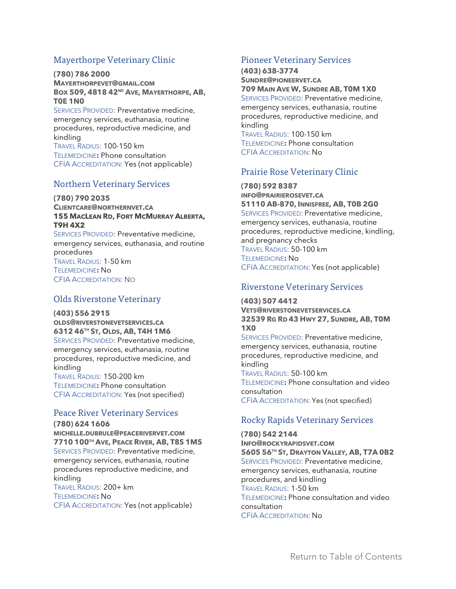## <span id="page-48-0"></span>Mayerthorpe Veterinary Clinic

**(780) 786 2000**

**MAYERTHORPEVET@GMAIL.COM BOX 509, 4818 42ND AVE, MAYERTHORPE, AB, T0E 1N0**

SERVICES PROVIDED: Preventative medicine, emergency services, euthanasia, routine procedures, reproductive medicine, and kindling

TRAVEL RADIUS: 100-150 km TELEMEDICINE**:** Phone consultation CFIA ACCREDITATION: Yes (not applicable)

## <span id="page-48-1"></span>Northern Veterinary Services

**(780) 790 2035**

**CLIENTCARE@NORTHERNVET.CA 155 MACLEAN RD, FORT MCMURRAY ALBERTA, T9H 4X2**

SERVICES PROVIDED: Preventative medicine, emergency services, euthanasia, and routine procedures TRAVEL RADIUS: 1-50 km TELEMEDICINE**:** No CFIA ACCREDITATION: NO

## <span id="page-48-2"></span>Olds Riverstone Veterinary

#### **(403) 556 2915**

**OLDS@RIVERSTONEVETSERVICES.CA**

**6312 46TH ST, OLDS, AB, T4H 1M6** SERVICES PROVIDED: Preventative medicine, emergency services, euthanasia, routine procedures, reproductive medicine, and

kindling TRAVEL RADIUS: 150-200 km TELEMEDICINE**:** Phone consultation CFIA ACCREDITATION: Yes (not specified)

## Peace River Veterinary Services

**(780) 624 1606 MICHELLE.DUBRULE@PEACERIVERVET.COM 7710 100TH AVE, PEACE RIVER, AB, T8S 1M5** SERVICES PROVIDED: Preventative medicine, emergency services, euthanasia, routine procedures reproductive medicine, and kindling TRAVEL RADIUS: 200+ km TELEMEDICINE**:** No CFIA ACCREDITATION: Yes (not applicable)

## Pioneer Veterinary Services

**(403) 638-3774 SUNDRE@PIONEERVET.CA 709 MAIN AVE W, SUNDRE AB, T0M 1X0** SERVICES PROVIDED: Preventative medicine, emergency services, euthanasia, routine procedures, reproductive medicine, and kindling TRAVEL RADIUS: 100-150 km TELEMEDICINE**:** Phone consultation CFIA ACCREDITATION: No

## <span id="page-48-3"></span>Prairie Rose Veterinary Clinic

**(780) 592 8387 INFO@PRAIRIEROSEVET.CA 51110 AB-870, INNISFREE, AB, T0B 2G0** SERVICES PROVIDED: Preventative medicine, emergency services, euthanasia, routine procedures, reproductive medicine, kindling, and pregnancy checks TRAVEL RADIUS: 50-100 km TELEMEDICINE**:** No CFIA ACCREDITATION: Yes (not applicable)

## <span id="page-48-4"></span>Riverstone Veterinary Services

**(403) 507 4412 VETS@RIVERSTONEVETSERVICES.CA 32539 RG RD 43 HWY 27, SUNDRE, AB, T0M 1X0**

SERVICES PROVIDED: Preventative medicine, emergency services, euthanasia, routine procedures, reproductive medicine, and kindling TRAVEL RADIUS: 50-100 km TELEMEDICINE**:** Phone consultation and video consultation CFIA ACCREDITATION: Yes (not specified)

## <span id="page-48-5"></span>Rocky Rapids Veterinary Services

**(780) 542 2144 INFO@ROCKYRAPIDSVET.COM 5605 56TH ST, DRAYTON VALLEY, AB, T7A 0B2** SERVICES PROVIDED: Preventative medicine, emergency services, euthanasia, routine procedures, and kindling TRAVEL RADIUS: 1-50 km TELEMEDICINE**:** Phone consultation and video consultation CFIA ACCREDITATION: No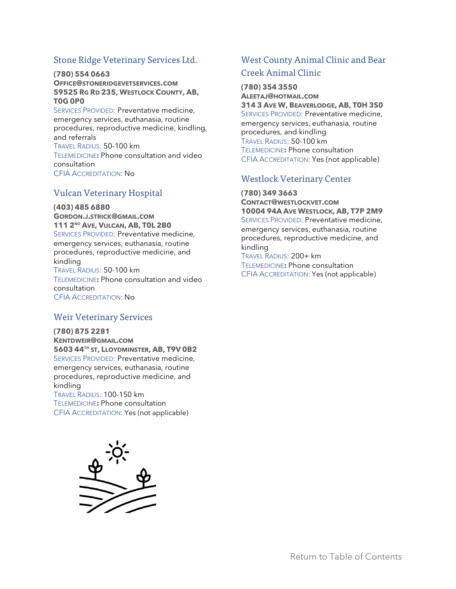## <span id="page-49-0"></span>Stone Ridge Veterinary Services Ltd.

**(780) 554 0663 OFFICE@STONERIDGEVETSERVICES.COM 59525 RG RD 235, WESTLOCK COUNTY, AB, T0G 0P0**

SERVICES PROVIDED: Preventative medicine, emergency services, euthanasia, routine procedures, reproductive medicine, kindling, and referrals TRAVEL RADIUS: 50-100 km TELEMEDICINE**:** Phone consultation and video consultation CFIA ACCREDITATION: No

## <span id="page-49-1"></span>Vulcan Veterinary Hospital

**(403) 485 6880 GORDON.J.STRICK@GMAIL.COM 111 2 ND AVE, VULCAN, AB, T0L 2B0** SERVICES PROVIDED: Preventative medicine, emergency services, euthanasia, routine procedures, reproductive medicine, and kindling TRAVEL RADIUS: 50-100 km TELEMEDICINE**:** Phone consultation and video consultation CFIA ACCREDITATION: No

## <span id="page-49-2"></span>Weir Veterinary Services

**(780) 875 2281 KENTDWEIR@GMAIL.COM 5603 44TH ST, LLOYDMINSTER, AB, T9V 0B2** SERVICES PROVIDED: Preventative medicine, emergency services, euthanasia, routine procedures, reproductive medicine, and kindling TRAVEL RADIUS: 100-150 km TELEMEDICINE**:** Phone consultation CFIA ACCREDITATION: Yes (not applicable)



# <span id="page-49-3"></span>West County Animal Clinic and Bear Creek Animal Clinic

# **(780) 354 3550**

**ALEETAJ@HOTMAIL.COM 314 3 AVE W, BEAVERLODGE, AB, T0H 3S0** SERVICES PROVIDED: Preventative medicine, emergency services, euthanasia, routine procedures, and kindling TRAVEL RADIUS: 50-100 km TELEMEDICINE**:** Phone consultation CFIA ACCREDITATION: Yes (not applicable)

## <span id="page-49-4"></span>Westlock Veterinary Center

**(780) 349 3663 CONTACT@WESTLOCKVET.COM 10004 94A AVE WESTLOCK, AB, T7P 2M9** SERVICES PROVIDED: Preventative medicine, emergency services, euthanasia, routine procedures, reproductive medicine, and kindling TRAVEL RADIUS: 200+ km

TELEMEDICINE**:** Phone consultation CFIA ACCREDITATION: Yes (not applicable)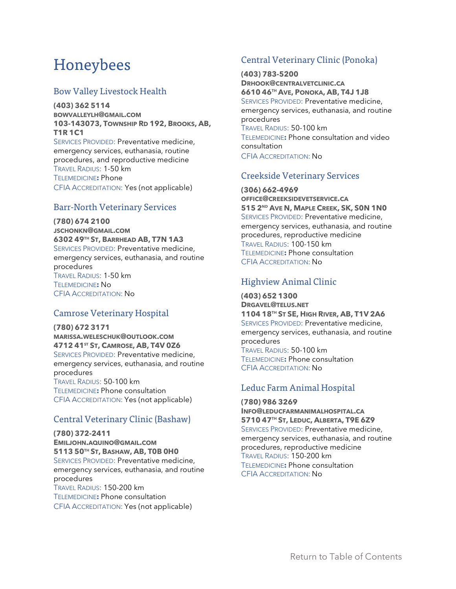# <span id="page-50-0"></span>Honeybees

## <span id="page-50-1"></span>Bow Valley Livestock Health

**(403) 362 5114 BOWVALLEYLH@GMAIL.COM 103-143073, TOWNSHIP RD 192, BROOKS, AB, T1R 1C1** SERVICES PROVIDED: Preventative medicine, emergency services, euthanasia, routine procedures, and reproductive medicine TRAVEL RADIUS: 1-50 km

TELEMEDICINE**:** Phone CFIA ACCREDITATION: Yes (not applicable)

#### <span id="page-50-2"></span>Barr-North Veterinary Services

**(780) 674 2100**

**JSCHONKN@GMAIL.COM 6302 49TH ST, BARRHEAD AB, T7N 1A3** SERVICES PROVIDED: Preventative medicine, emergency services, euthanasia, and routine procedures TRAVEL RADIUS: 1-50 km TELEMEDICINE**:** No CFIA ACCREDITATION: No

## <span id="page-50-3"></span>Camrose Veterinary Hospital

**(780) 672 3171 MARISSA.WELESCHUK@OUTLOOK.COM 4712 41ST ST, CAMROSE, AB, T4V 0Z6** SERVICES PROVIDED: Preventative medicine, emergency services, euthanasia, and routine procedures TRAVEL RADIUS: 50-100 km TELEMEDICINE**:** Phone consultation CFIA ACCREDITATION: Yes (not applicable)

## <span id="page-50-4"></span>Central Veterinary Clinic (Bashaw)

**(780) 372-2411 EMILJOHN.AQUINO@GMAIL.COM 5113 50TH ST, BASHAW, AB, T0B 0H0** SERVICES PROVIDED: Preventative medicine, emergency services, euthanasia, and routine procedures TRAVEL RADIUS: 150-200 km TELEMEDICINE**:** Phone consultation CFIA ACCREDITATION: Yes (not applicable)

## <span id="page-50-5"></span>Central Veterinary Clinic (Ponoka)

**(403) 783-5200 DRHOOK@CENTRALVETCLINIC.CA 6610 46TH AVE, PONOKA, AB, T4J 1J8** SERVICES PROVIDED: Preventative medicine, emergency services, euthanasia, and routine procedures TRAVEL RADIUS: 50-100 km TELEMEDICINE**:** Phone consultation and video consultation CFIA ACCREDITATION: No

## <span id="page-50-6"></span>Creekside Veterinary Services

#### **(306) 662-4969 OFFICE@CREEKSIDEVETSERVICE.CA**

**515 2 ND AVE N, MAPLE CREEK, SK, S0N 1N0** SERVICES PROVIDED: Preventative medicine, emergency services, euthanasia, and routine procedures, reproductive medicine TRAVEL RADIUS: 100-150 km TELEMEDICINE**:** Phone consultation CFIA ACCREDITATION: No

## <span id="page-50-7"></span>Highview Animal Clinic

**(403) 652 1300 DRGAVEL@TELUS.NET 1104 18TH ST SE, HIGH RIVER, AB, T1V 2A6** SERVICES PROVIDED: Preventative medicine, emergency services, euthanasia, and routine procedures TRAVEL RADIUS: 50-100 km TELEMEDICINE**:** Phone consultation CFIA ACCREDITATION: No

## <span id="page-50-8"></span>Leduc Farm Animal Hospital

**(780) 986 3269 INFO@LEDUCFARMANIMALHOSPITAL.CA 5710 47TH ST, LEDUC, ALBERTA, T9E 6Z9** SERVICES PROVIDED: Preventative medicine, emergency services, euthanasia, and routine procedures, reproductive medicine TRAVEL RADIUS: 150-200 km TELEMEDICINE**:** Phone consultation CFIA ACCREDITATION: No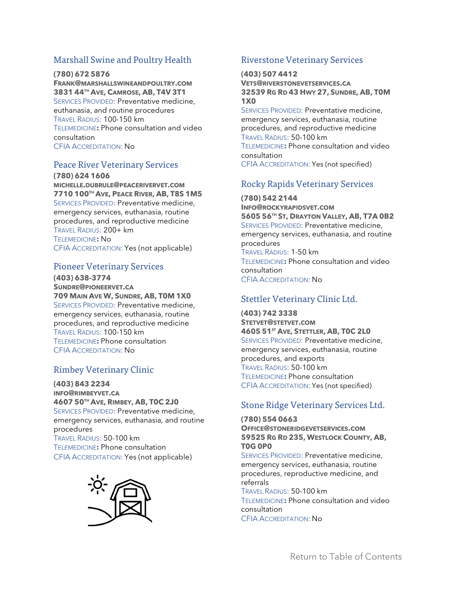## <span id="page-51-0"></span>Marshall Swine and Poultry Health

**(780) 672 5876**

**FRANK@MARSHALLSWINEANDPOULTRY.COM 3831 44TH AVE, CAMROSE, AB, T4V 3T1** SERVICES PROVIDED: Preventative medicine, euthanasia, and routine procedures TRAVEL RADIUS: 100-150 km TELEMEDICINE**:** Phone consultation and video consultation CFIA ACCREDITATION: No

## Peace River Veterinary Services

**(780) 624 1606 MICHELLE.DUBRULE@PEACERIVERVET.COM 7710 100TH AVE, PEACE RIVER, AB, T8S 1M5** SERVICES PROVIDED: Preventative medicine, emergency services, euthanasia, routine procedures, and reproductive medicine TRAVEL RADIUS: 200+ km TELEMEDICINE**:** No CFIA ACCREDITATION: Yes (not applicable)

## Pioneer Veterinary Services

**(403) 638-3774 SUNDRE@PIONEERVET.CA 709 MAIN AVE W, SUNDRE, AB, T0M 1X0** SERVICES PROVIDED: Preventative medicine, emergency services, euthanasia, routine procedures, and reproductive medicine TRAVEL RADIUS: 100-150 km TELEMEDICINE**:** Phone consultation CFIA ACCREDITATION: No

## <span id="page-51-1"></span>Rimbey Veterinary Clinic

**(403) 843 2234 INFO@RIMBEYVET.CA 4607 50TH AVE, RIMBEY, AB, T0C 2J0** SERVICES PROVIDED: Preventative medicine, emergency services, euthanasia, and routine procedures TRAVEL RADIUS: 50-100 km TELEMEDICINE**:** Phone consultation CFIA ACCREDITATION: Yes (not applicable)



## <span id="page-51-2"></span>Riverstone Veterinary Services

**(403) 507 4412**

**VETS@RIVERSTONEVETSERVICES.CA 32539 RG RD 43 HWY 27, SUNDRE, AB, T0M 1X0**

SERVICES PROVIDED: Preventative medicine, emergency services, euthanasia, routine procedures, and reproductive medicine TRAVEL RADIUS: 50-100 km TELEMEDICINE**:** Phone consultation and video consultation

<span id="page-51-3"></span>CFIA ACCREDITATION: Yes (not specified)

## Rocky Rapids Veterinary Services

**(780) 542 2144 INFO@ROCKYRAPIDSVET.COM 5605 56TH ST, DRAYTON VALLEY, AB, T7A 0B2** SERVICES PROVIDED: Preventative medicine, emergency services, euthanasia, and routine procedures TRAVEL RADIUS: 1-50 km TELEMEDICINE**:** Phone consultation and video consultation CFIA ACCREDITATION: No

## <span id="page-51-4"></span>Stettler Veterinary Clinic Ltd.

**(403) 742 3338 STETVET@STETVET.COM 4605 51ST AVE, STETTLER, AB, T0C 2L0** SERVICES PROVIDED: Preventative medicine, emergency services, euthanasia, routine procedures, and exports TRAVEL RADIUS: 50-100 km TELEMEDICINE**:** Phone consultation CFIA ACCREDITATION: Yes (not specified)

## <span id="page-51-5"></span>Stone Ridge Veterinary Services Ltd.

**(780) 554 0663 OFFICE@STONERIDGEVETSERVICES.COM**

**59525 RG RD 235, WESTLOCK COUNTY, AB, T0G 0P0**

SERVICES PROVIDED: Preventative medicine, emergency services, euthanasia, routine procedures, reproductive medicine, and referrals

TRAVEL RADIUS: 50-100 km TELEMEDICINE**:** Phone consultation and video consultation CFIA ACCREDITATION: No